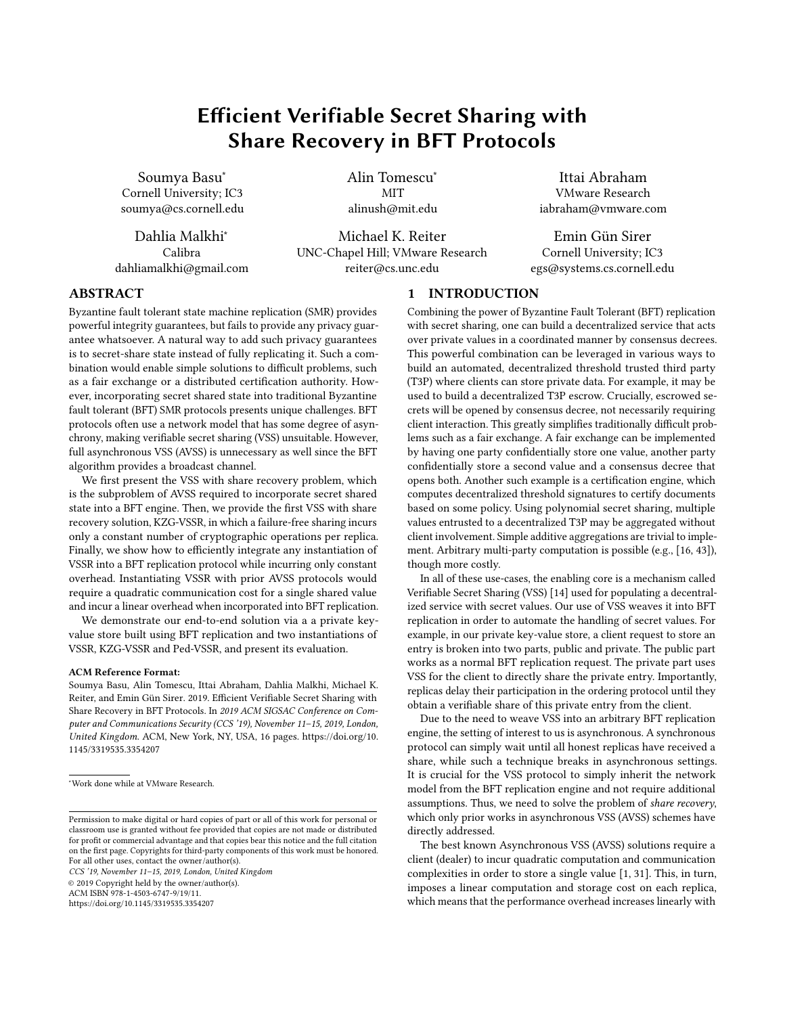# Efficient Verifiable Secret Sharing with Share Recovery in BFT Protocols

Soumya Basu<sup>∗</sup> Cornell University; IC3 soumya@cs.cornell.edu

Dahlia Malkhi<sup>∗</sup> Calibra dahliamalkhi@gmail.com Alin Tomescu<sup>∗</sup> MIT alinush@mit.edu

Michael K. Reiter UNC-Chapel Hill; VMware Research reiter@cs.unc.edu

Ittai Abraham VMware Research iabraham@vmware.com

Emin Gün Sirer Cornell University; IC3 egs@systems.cs.cornell.edu

## ABSTRACT

Byzantine fault tolerant state machine replication (SMR) provides powerful integrity guarantees, but fails to provide any privacy guarantee whatsoever. A natural way to add such privacy guarantees is to secret-share state instead of fully replicating it. Such a combination would enable simple solutions to difficult problems, such as a fair exchange or a distributed certification authority. However, incorporating secret shared state into traditional Byzantine fault tolerant (BFT) SMR protocols presents unique challenges. BFT protocols often use a network model that has some degree of asynchrony, making verifiable secret sharing (VSS) unsuitable. However, full asynchronous VSS (AVSS) is unnecessary as well since the BFT algorithm provides a broadcast channel.

We first present the VSS with share recovery problem, which is the subproblem of AVSS required to incorporate secret shared state into a BFT engine. Then, we provide the first VSS with share recovery solution, KZG-VSSR, in which a failure-free sharing incurs only a constant number of cryptographic operations per replica. Finally, we show how to efficiently integrate any instantiation of VSSR into a BFT replication protocol while incurring only constant overhead. Instantiating VSSR with prior AVSS protocols would require a quadratic communication cost for a single shared value and incur a linear overhead when incorporated into BFT replication.

We demonstrate our end-to-end solution via a a private keyvalue store built using BFT replication and two instantiations of VSSR, KZG-VSSR and Ped-VSSR, and present its evaluation.

#### ACM Reference Format:

Soumya Basu, Alin Tomescu, Ittai Abraham, Dahlia Malkhi, Michael K. Reiter, and Emin Gün Sirer. 2019. Efficient Verifiable Secret Sharing with Share Recovery in BFT Protocols. In 2019 ACM SIGSAC Conference on Computer and Communications Security (CCS '19), November 11–15, 2019, London, United Kingdom. ACM, New York, NY, USA, [16](#page-15-0) pages. [https://doi.org/10.](https://doi.org/10.1145/3319535.3354207) [1145/3319535.3354207](https://doi.org/10.1145/3319535.3354207)

CCS '19, November 11–15, 2019, London, United Kingdom

© 2019 Copyright held by the owner/author(s).

ACM ISBN 978-1-4503-6747-9/19/11.

<https://doi.org/10.1145/3319535.3354207>

## 1 INTRODUCTION

Combining the power of Byzantine Fault Tolerant (BFT) replication with secret sharing, one can build a decentralized service that acts over private values in a coordinated manner by consensus decrees. This powerful combination can be leveraged in various ways to build an automated, decentralized threshold trusted third party (T3P) where clients can store private data. For example, it may be used to build a decentralized T3P escrow. Crucially, escrowed secrets will be opened by consensus decree, not necessarily requiring client interaction. This greatly simplifies traditionally difficult problems such as a fair exchange. A fair exchange can be implemented by having one party confidentially store one value, another party confidentially store a second value and a consensus decree that opens both. Another such example is a certification engine, which computes decentralized threshold signatures to certify documents based on some policy. Using polynomial secret sharing, multiple values entrusted to a decentralized T3P may be aggregated without client involvement. Simple additive aggregations are trivial to implement. Arbitrary multi-party computation is possible (e.g., [\[16,](#page-13-0) [43\]](#page-13-1)), though more costly.

In all of these use-cases, the enabling core is a mechanism called Verifiable Secret Sharing (VSS) [\[14\]](#page-13-2) used for populating a decentralized service with secret values. Our use of VSS weaves it into BFT replication in order to automate the handling of secret values. For example, in our private key-value store, a client request to store an entry is broken into two parts, public and private. The public part works as a normal BFT replication request. The private part uses VSS for the client to directly share the private entry. Importantly, replicas delay their participation in the ordering protocol until they obtain a verifiable share of this private entry from the client.

Due to the need to weave VSS into an arbitrary BFT replication engine, the setting of interest to us is asynchronous. A synchronous protocol can simply wait until all honest replicas have received a share, while such a technique breaks in asynchronous settings. It is crucial for the VSS protocol to simply inherit the network model from the BFT replication engine and not require additional assumptions. Thus, we need to solve the problem of share recovery, which only prior works in asynchronous VSS (AVSS) schemes have directly addressed.

The best known Asynchronous VSS (AVSS) solutions require a client (dealer) to incur quadratic computation and communication complexities in order to store a single value [\[1,](#page-13-3) [31\]](#page-13-4). This, in turn, imposes a linear computation and storage cost on each replica, which means that the performance overhead increases linearly with

<sup>∗</sup>Work done while at VMware Research.

Permission to make digital or hard copies of part or all of this work for personal or classroom use is granted without fee provided that copies are not made or distributed for profit or commercial advantage and that copies bear this notice and the full citation on the first page. Copyrights for third-party components of this work must be honored. For all other uses, contact the owner/author(s).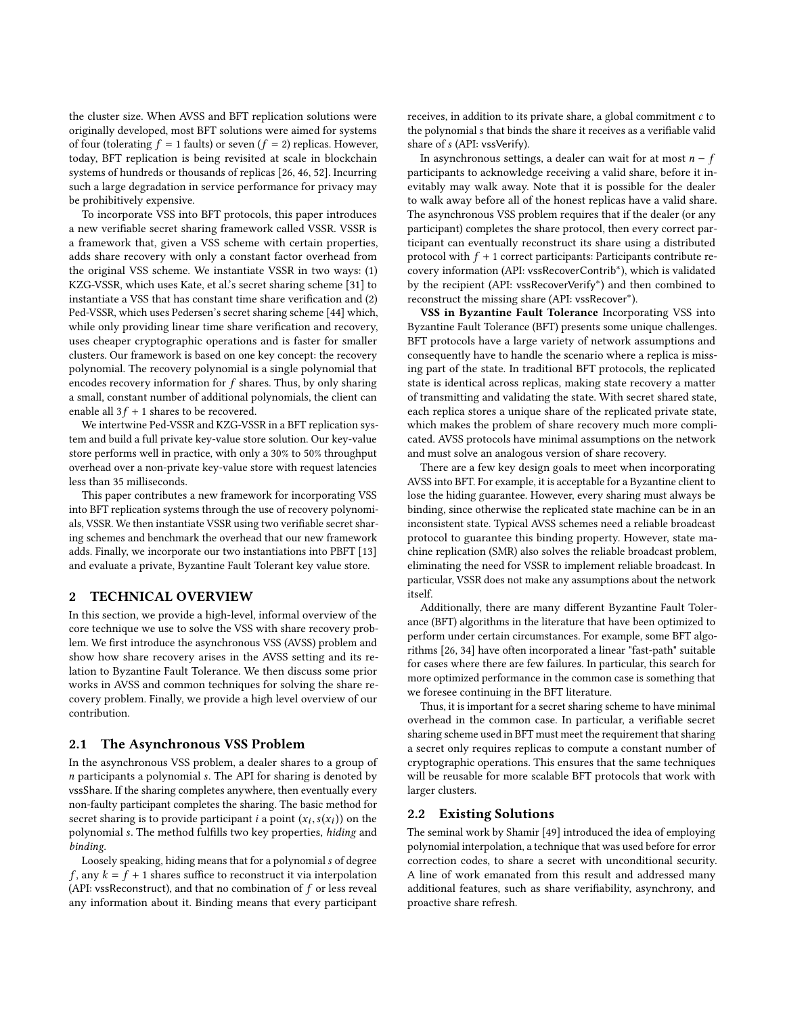the cluster size. When AVSS and BFT replication solutions were originally developed, most BFT solutions were aimed for systems of four (tolerating  $f = 1$  faults) or seven  $(f = 2)$  replicas. However, today, BFT replication is being revisited at scale in blockchain systems of hundreds or thousands of replicas [\[26,](#page-13-5) [46,](#page-13-6) [52\]](#page-13-7). Incurring such a large degradation in service performance for privacy may be prohibitively expensive.

To incorporate VSS into BFT protocols, this paper introduces a new verifiable secret sharing framework called VSSR. VSSR is a framework that, given a VSS scheme with certain properties, adds share recovery with only a constant factor overhead from the original VSS scheme. We instantiate VSSR in two ways: (1) KZG-VSSR, which uses Kate, et al.'s secret sharing scheme [\[31\]](#page-13-4) to instantiate a VSS that has constant time share verification and (2) Ped-VSSR, which uses Pedersen's secret sharing scheme [\[44\]](#page-13-8) which, while only providing linear time share verification and recovery, uses cheaper cryptographic operations and is faster for smaller clusters. Our framework is based on one key concept: the recovery polynomial. The recovery polynomial is a single polynomial that encodes recovery information for f shares. Thus, by only sharing a small, constant number of additional polynomials, the client can enable all  $3f + 1$  shares to be recovered.

We intertwine Ped-VSSR and KZG-VSSR in a BFT replication system and build a full private key-value store solution. Our key-value store performs well in practice, with only a 30% to 50% throughput overhead over a non-private key-value store with request latencies less than 35 milliseconds.

This paper contributes a new framework for incorporating VSS into BFT replication systems through the use of recovery polynomials, VSSR. We then instantiate VSSR using two verifiable secret sharing schemes and benchmark the overhead that our new framework adds. Finally, we incorporate our two instantiations into PBFT [\[13\]](#page-13-9) and evaluate a private, Byzantine Fault Tolerant key value store.

### <span id="page-1-1"></span>2 TECHNICAL OVERVIEW

In this section, we provide a high-level, informal overview of the core technique we use to solve the VSS with share recovery problem. We first introduce the asynchronous VSS (AVSS) problem and show how share recovery arises in the AVSS setting and its relation to Byzantine Fault Tolerance. We then discuss some prior works in AVSS and common techniques for solving the share recovery problem. Finally, we provide a high level overview of our contribution.

#### 2.1 The Asynchronous VSS Problem

In the asynchronous VSS problem, a dealer shares to a group of n participants a polynomial s. The API for sharing is denoted by vssShare. If the sharing completes anywhere, then eventually every non-faulty participant completes the sharing. The basic method for secret sharing is to provide participant *i* a point  $(x_i, s(x_i))$  on the polynomial s. The method fulfills two key properties, hiding and polynomial s. The method fulfills two key properties, hiding and binding.

Loosely speaking, hiding means that for a polynomial s of degree f, any  $k = f + 1$  shares suffice to reconstruct it via interpolation (API: vssReconstruct), and that no combination of  $f$  or less reveal any information about it. Binding means that every participant receives, in addition to its private share, a global commitment c to the polynomial s that binds the share it receives as a verifiable valid share of s (API: vssVerify).

In asynchronous settings, a dealer can wait for at most  $n - f$ participants to acknowledge receiving a valid share, before it inevitably may walk away. Note that it is possible for the dealer to walk away before all of the honest replicas have a valid share. The asynchronous VSS problem requires that if the dealer (or any participant) completes the share protocol, then every correct participant can eventually reconstruct its share using a distributed protocol with  $f + 1$  correct participants: Participants contribute recovery information (API: vssRecoverContrib<sup>∗</sup> ), which is validated by the recipient (API: vssRecoverVerify<sup>∗</sup> ) and then combined to reconstruct the missing share (API: vssRecover<sup>\*</sup>).

VSS in Byzantine Fault Tolerance Incorporating VSS into Byzantine Fault Tolerance (BFT) presents some unique challenges. BFT protocols have a large variety of network assumptions and consequently have to handle the scenario where a replica is missing part of the state. In traditional BFT protocols, the replicated state is identical across replicas, making state recovery a matter of transmitting and validating the state. With secret shared state, each replica stores a unique share of the replicated private state, which makes the problem of share recovery much more complicated. AVSS protocols have minimal assumptions on the network and must solve an analogous version of share recovery.

There are a few key design goals to meet when incorporating AVSS into BFT. For example, it is acceptable for a Byzantine client to lose the hiding guarantee. However, every sharing must always be binding, since otherwise the replicated state machine can be in an inconsistent state. Typical AVSS schemes need a reliable broadcast protocol to guarantee this binding property. However, state machine replication (SMR) also solves the reliable broadcast problem, eliminating the need for VSSR to implement reliable broadcast. In particular, VSSR does not make any assumptions about the network itself.

Additionally, there are many different Byzantine Fault Tolerance (BFT) algorithms in the literature that have been optimized to perform under certain circumstances. For example, some BFT algorithms [\[26,](#page-13-5) [34\]](#page-13-10) have often incorporated a linear "fast-path" suitable for cases where there are few failures. In particular, this search for more optimized performance in the common case is something that we foresee continuing in the BFT literature.

Thus, it is important for a secret sharing scheme to have minimal overhead in the common case. In particular, a verifiable secret sharing scheme used in BFT must meet the requirement that sharing a secret only requires replicas to compute a constant number of cryptographic operations. This ensures that the same techniques will be reusable for more scalable BFT protocols that work with larger clusters.

#### <span id="page-1-0"></span>2.2 Existing Solutions

The seminal work by Shamir [\[49\]](#page-13-11) introduced the idea of employing polynomial interpolation, a technique that was used before for error correction codes, to share a secret with unconditional security. A line of work emanated from this result and addressed many additional features, such as share verifiability, asynchrony, and proactive share refresh.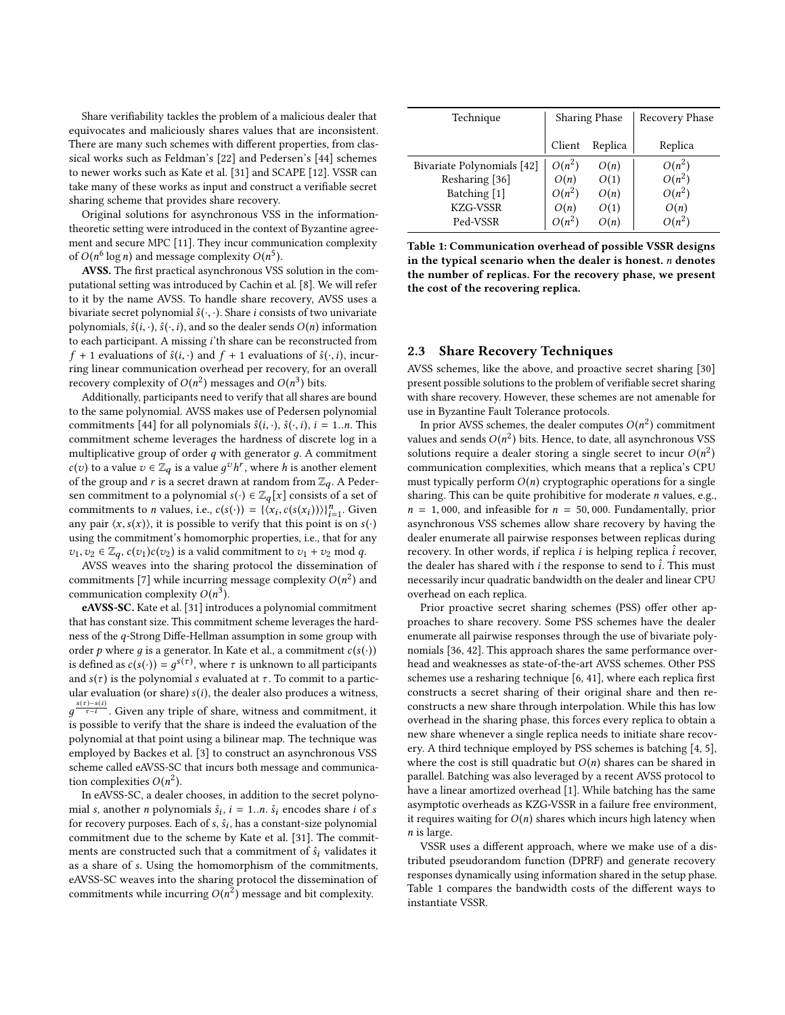Share verifiability tackles the problem of a malicious dealer that equivocates and maliciously shares values that are inconsistent. There are many such schemes with different properties, from classical works such as Feldman's [\[22\]](#page-13-12) and Pedersen's [\[44\]](#page-13-8) schemes to newer works such as Kate et al. [\[31\]](#page-13-4) and SCAPE [\[12\]](#page-13-13). VSSR can take many of these works as input and construct a verifiable secret sharing scheme that provides share recovery.

Original solutions for asynchronous VSS in the informationtheoretic setting were introduced in the context of Byzantine agreement and secure MPC [\[11\]](#page-13-14). They incur communication complexity of  $O(n^6 \log n)$  and message complexity  $O(n^5)$ .<br>AVSS The first practical asymphronous VSS

AVSS. The first practical asynchronous VSS solution in the computational setting was introduced by Cachin et al. [\[8\]](#page-13-15). We will refer to it by the name AVSS. To handle share recovery, AVSS uses a bivariate secret polynomial  $\hat{s}(\cdot, \cdot)$ . Share *i* consists of two univariate polynomials,  $\hat{s}(i, \cdot)$ ,  $\hat{s}(\cdot, i)$ , and so the dealer sends  $O(n)$  information to each participant. A missing i'th share can be reconstructed from  $f + 1$  evaluations of  $\hat{s}(i, \cdot)$  and  $f + 1$  evaluations of  $\hat{s}(\cdot, i)$ , incurring linear communication overhead per recovery, for an overall recovery complexity of  $O(n^2)$  messages and  $O(n^3)$  bits.<br>Additionally, participants need to verify that all shares

Additionally, participants need to verify that all shares are bound to the same polynomial. AVSS makes use of Pedersen polynomial commitments [\[44\]](#page-13-8) for all polynomials  $\hat{s}(i, \cdot)$ ,  $\hat{s}(\cdot, i)$ ,  $i = 1..n$ . This commitment scheme leverages the hardness of discrete log in a multiplicative group of order  $q$  with generator  $q$ . A commitment  $c(v)$  to a value  $v \in \mathbb{Z}_q$  is a value  $g^v h^r$ , where h is another element<br>of the group and r is a secret drawn at random from  $\mathbb{Z}_q$ . A Peder $v \in \mathbb{Z}_q$  is a value  $y \cdot n'$ , where *n* is another element<br>of the group and *r* is a secret drawn at random from  $\mathbb{Z}_q$ . A Peder-<br>sen commitment to a polynomial  $s(.) \in \mathbb{Z}$ . [x] consists of a set of sen commitment to a polynomial  $s(\cdot) \in \mathbb{Z}_q[x]$  consists of a set of commitments to *n* values, i.e.,  $c(s(\cdot)) = {\langle x_i, c(s(x_i)) \rangle}^n_{i=1}$ . Given communicies to *h* values, i.e.,  $c(s(\cdot)) = \sqrt{x_1}, c(s(x_1))/f_{i-1}$ . Given<br>any pair  $\langle x, s(x) \rangle$ , it is possible to verify that this point is on  $s(\cdot)$ <br>using the commitment's homomorphic properties i.e. that for any using the commitment's homomorphic properties, i.e., that for any  $v_1, v_2 \in \mathbb{Z}_q$ ,  $c(v_1)c(v_2)$  is a valid commitment to  $v_1 + v_2$  mod q.

AVSS weaves into the sharing protocol the dissemination of commitments [\[7\]](#page-13-16) while incurring message complexity  $O(n^2)$  and<br>communication complexity  $O(n^3)$ communication complexity  $O(n^3)$ .<br> **e AVSS-SC** Kate et al. [31] introd

eAVSS-SC. Kate et al. [\[31\]](#page-13-4) introduces a polynomial commitment that has constant size. This commitment scheme leverages the hardness of the q-Strong Diffe-Hellman assumption in some group with order p where q is a generator. In Kate et al., a commitment  $c(s(\cdot))$ is defined as  $c(s(\cdot)) = g^{s(\tau)}$ , where  $\tau$  is unknown to all participants<br>and  $s(\tau)$  is the polynomial s evaluated at  $\tau$ . To commit to a particiand  $s(\tau)$  is the polynomial s evaluated at  $\tau$ . To commit to a particular evaluation (or share)  $s(i)$ , the dealer also produces a witness, д is possible to verify that the share is indeed the evaluation of the  $\frac{s(\tau)-s(i)}{\tau-i}$ . Given any triple of share, witness and commitment, it polynomial at that point using a bilinear map. The technique was employed by Backes et al. [\[3\]](#page-13-17) to construct an asynchronous VSS scheme called eAVSS-SC that incurs both message and communication complexities  $O(n^2)$ .<br>In eAVSS-SC, a dealer

In eAVSS-SC, a dealer chooses, in addition to the secret polynomial s, another *n* polynomials  $\hat{s}_i$ ,  $i = 1..n$ .  $\hat{s}_i$  encodes share *i* of s<br>for recovery purposes. Each of s,  $\hat{s}_i$ , has a constant-size polynomial for recovery purposes. Each of s,  $\hat{s}_i$ , has a constant-size polynomial commitment due to the scheme by Kate et al. [31]. The commit commitment due to the scheme by Kate et al. [\[31\]](#page-13-4). The commitments are constructed such that a commitment of  $\hat{s}_i$  validates it as a share of s. Using the homomorphism of the commitments, eAVSS-SC weaves into the sharing protocol the dissemination of commitments while incurring  $O(n^2)$  message and bit complexity.

<span id="page-2-0"></span>

| Technique                  | <b>Sharing Phase</b> |         | Recovery Phase |
|----------------------------|----------------------|---------|----------------|
|                            | Client               | Replica | Replica        |
| Bivariate Polynomials [42] | $O(n^2)$             | O(n)    | $O(n^2)$       |
| Resharing [36]             | O(n)                 | O(1)    | $O(n^2)$       |
| Batching [1]               | $O(n^2)$             | O(n)    | $O(n^2)$       |
| <b>KZG-VSSR</b>            | O(n)                 | O(1)    | O(n)           |
| Ped-VSSR                   | $O(n^2)$             | O(n)    | $O(n^2)$       |

Table 1: Communication overhead of possible VSSR designs in the typical scenario when the dealer is honest.  $n$  denotes the number of replicas. For the recovery phase, we present the cost of the recovering replica.

#### 2.3 Share Recovery Techniques

AVSS schemes, like the above, and proactive secret sharing [\[30\]](#page-13-20) present possible solutions to the problem of verifiable secret sharing with share recovery. However, these schemes are not amenable for use in Byzantine Fault Tolerance protocols.

In prior AVSS schemes, the dealer computes  $O(n^2)$  commitment<br>uses and sends  $O(n^2)$  bits. Hence to date all asymphronous VSS values and sends  $O(n^2)$  bits. Hence, to date, all asynchronous VSS<br>solutions require a dealer storing a single secret to incur  $O(n^2)$ solutions require a dealer storing a single secret to incur  $O(n^2)$ <br>communication complexities which means that a replica's CPU communication complexities, which means that a replica's CPU must typically perform  $O(n)$  cryptographic operations for a single sharing. This can be quite prohibitive for moderate  $n$  values, e.g.,  $n = 1,000$ , and infeasible for  $n = 50,000$ . Fundamentally, prior asynchronous VSS schemes allow share recovery by having the dealer enumerate all pairwise responses between replicas during recovery. In other words, if replica i is helping replica  $\hat{i}$  recover, the dealer has shared with *i* the response to send to  $\hat{i}$ . This must necessarily incur quadratic bandwidth on the dealer and linear CPU overhead on each replica.

Prior proactive secret sharing schemes (PSS) offer other approaches to share recovery. Some PSS schemes have the dealer enumerate all pairwise responses through the use of bivariate polynomials [\[36,](#page-13-19) [42\]](#page-13-18). This approach shares the same performance overhead and weaknesses as state-of-the-art AVSS schemes. Other PSS schemes use a resharing technique [\[6,](#page-13-21) [41\]](#page-13-22), where each replica first constructs a secret sharing of their original share and then reconstructs a new share through interpolation. While this has low overhead in the sharing phase, this forces every replica to obtain a new share whenever a single replica needs to initiate share recovery. A third technique employed by PSS schemes is batching [\[4,](#page-13-23) [5\]](#page-13-24), where the cost is still quadratic but  $O(n)$  shares can be shared in parallel. Batching was also leveraged by a recent AVSS protocol to have a linear amortized overhead [\[1\]](#page-13-3). While batching has the same asymptotic overheads as KZG-VSSR in a failure free environment, it requires waiting for  $O(n)$  shares which incurs high latency when n is large.

VSSR uses a different approach, where we make use of a distributed pseudorandom function (DPRF) and generate recovery responses dynamically using information shared in the setup phase. Table [1](#page-2-0) compares the bandwidth costs of the different ways to instantiate VSSR.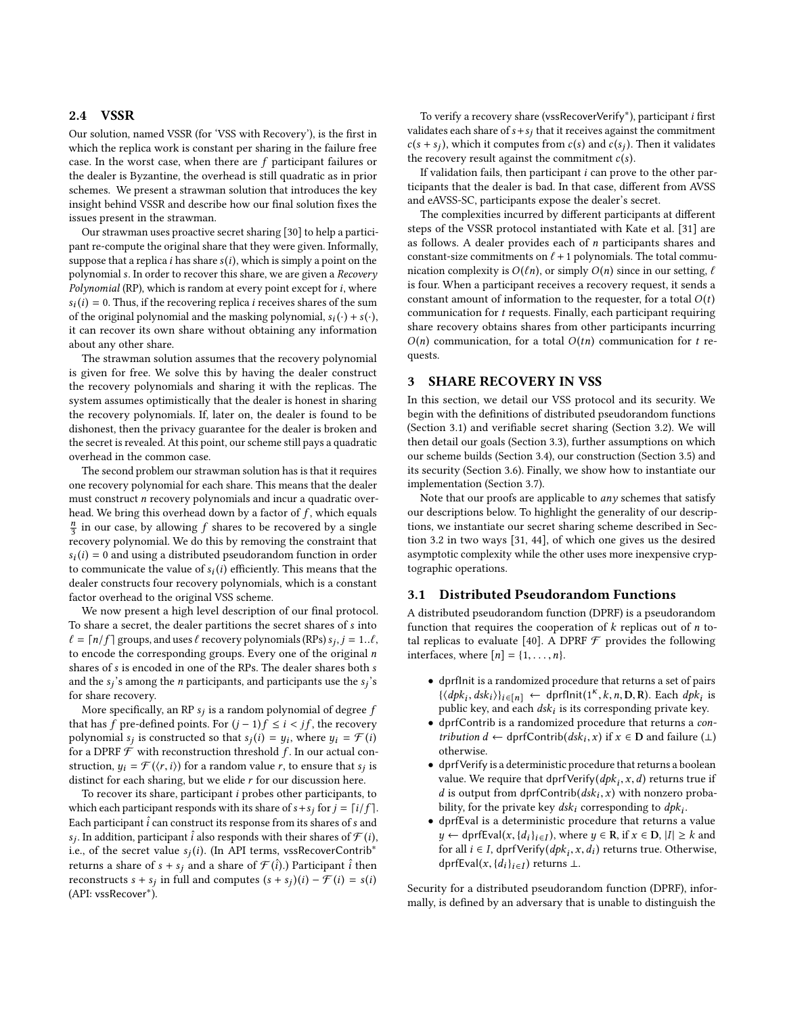## 2.4 VSSR

Our solution, named VSSR (for 'VSS with Recovery'), is the first in which the replica work is constant per sharing in the failure free case. In the worst case, when there are f participant failures or the dealer is Byzantine, the overhead is still quadratic as in prior schemes. We present a strawman solution that introduces the key insight behind VSSR and describe how our final solution fixes the issues present in the strawman.

Our strawman uses proactive secret sharing [\[30\]](#page-13-20) to help a participant re-compute the original share that they were given. Informally, suppose that a replica i has share  $s(i)$ , which is simply a point on the polynomial s. In order to recover this share, we are given a Recovery Polynomial (RP), which is random at every point except for  $i$ , where show the original polynomial and the masking polynomial,  $s_i(\cdot) + s(\cdot)$ ,<br>it can recover its own share without obtaining any information  $s_i(i) = 0$ . Thus, if the recovering replica *i* receives shares of the sum it can recover its own share without obtaining any information about any other share.

The strawman solution assumes that the recovery polynomial is given for free. We solve this by having the dealer construct the recovery polynomials and sharing it with the replicas. The system assumes optimistically that the dealer is honest in sharing the recovery polynomials. If, later on, the dealer is found to be dishonest, then the privacy guarantee for the dealer is broken and the secret is revealed. At this point, our scheme still pays a quadratic overhead in the common case.

The second problem our strawman solution has is that it requires one recovery polynomial for each share. This means that the dealer must construct n recovery polynomials and incur a quadratic overhead. We bring this overhead down by a factor of  $f$ , which equals  $\frac{n}{3}$  in our case, by allowing f shares to be recovered by a single<br>recovery polynomial. We do this by removing the constraint that recovery polynomial. We do this by removing the constraint that  $\epsilon_1(t)$ ,  $\epsilon_2(t)$  communicate the value of  $s_i(t)$  efficiently. This means that the dealer constructs four recovery polynomials, which is a constant  $s_i(i) = 0$  and using a distributed pseudorandom function in order dealer constructs four recovery polynomials, which is a constant factor overhead to the original VSS scheme.

We now present a high level description of our final protocol. To share a secret, the dealer partitions the secret shares of s into  $\ell = \lceil n/f \rceil$  groups, and uses  $\ell$  recovery polynomials (RPs)  $s_j$ ,  $j = 1..\ell$ , to encode the corresponding groups. Every one of the original n to encode the corresponding groups. Every one of the original  $n$ shares of s is encoded in one of the RPs. The dealer shares both s and the  $s_j$ 's among the *n* participants, and participants use the  $s_j$ 's for share recovery for share recovery.

More specifically, an RP  $s_j$  is a random polynomial of degree f<br>it has f pre-defined points. For  $(i-1)f \le i \le if$  the recovery that has f pre-defined points. For  $(j − 1)f ≤ i < jf$ , the recovery polynomial  $s_j$  is constructed so that  $s_j(i) = y_i$ , where  $y_i = \mathcal{F}(i)$ <br>for a DPPE  $\mathcal{F}$  with reconstruction threshold  $f$ . In our actual confor a DPRF  $\mathcal F$  with reconstruction threshold  $f$ . In our actual construction,  $y_i = \mathcal{F}(\langle r, i \rangle)$  for a random value r, to ensure that  $s_j$  is<br>distinct for each sharing, but we olide r for our discussion here distinct for each sharing, but we elide  $r$  for our discussion here.

To recover its share, participant i probes other participants, to which each participant responds with its share of  $s + s_j$  for  $j = \lceil i/f \rceil$ . Each participant  $\hat{i}$  can construct its response from its shares of s and sje i.e., of the secret value  $s_j(i)$ . (In API terms, vssRecoverContrib<sup>\*</sup>):<br>i.e., of the secret value  $s_j(i)$ . (In API terms, vssRecoverContrib<sup>\*</sup>) s<sub>j</sub>. In addition, participant  $\hat{i}$  also responds with their shares of  $\mathcal{F}(i)$ , returns a share of  $s + s_j$  and a share of  $\mathcal{F}(\hat{i})$ .) Participant  $\hat{i}$  then<br>reconstructs  $s + s_j$  in full and computes  $(s + s_j)(i) - \mathcal{F}(i) - s(i)$ reconstructs  $s + s_j$  in full and computes  $(s + s_j)(i) - \mathcal{F}(i) = s(i)$ <br>(API: vssRecover\*) (API: vssRecover<sup>∗</sup> ).

To verify a recovery share (vssRecoverVerify<sup>∗</sup> ), participant i first validates each share of  $s+s_j$  that it receives against the commitment  $c(s + s_j)$ , which it computes from  $c(s)$  and  $c(s_j)$ . Then it validates the recovery result against the commitment  $c(s)$ the recovery result against the commitment  $c(s)$ .

If validation fails, then participant  $i$  can prove to the other participants that the dealer is bad. In that case, different from AVSS and eAVSS-SC, participants expose the dealer's secret.

The complexities incurred by different participants at different steps of the VSSR protocol instantiated with Kate et al. [\[31\]](#page-13-4) are as follows. A dealer provides each of n participants shares and constant-size commitments on  $\ell$  + 1 polynomials. The total communication complexity is  $O(\ell n)$ , or simply  $O(n)$  since in our setting,  $\ell$ is four. When a participant receives a recovery request, it sends a constant amount of information to the requester, for a total  $O(t)$ communication for t requests. Finally, each participant requiring share recovery obtains shares from other participants incurring  $O(n)$  communication, for a total  $O(tn)$  communication for t requests.

## 3 SHARE RECOVERY IN VSS

In this section, we detail our VSS protocol and its security. We begin with the definitions of distributed pseudorandom functions (Section [3.1\)](#page-3-0) and verifiable secret sharing (Section [3.2\)](#page-4-0). We will then detail our goals (Section [3.3\)](#page-4-1), further assumptions on which our scheme builds (Section [3.4\)](#page-5-0), our construction (Section [3.5\)](#page-5-1) and its security (Section [3.6\)](#page-6-0). Finally, we show how to instantiate our implementation (Section [3.7\)](#page-7-0).

Note that our proofs are applicable to  $any$  schemes that satisfy our descriptions below. To highlight the generality of our descriptions, we instantiate our secret sharing scheme described in Section [3.2](#page-4-0) in two ways [\[31,](#page-13-4) [44\]](#page-13-8), of which one gives us the desired asymptotic complexity while the other uses more inexpensive cryptographic operations.

#### <span id="page-3-0"></span>3.1 Distributed Pseudorandom Functions

A distributed pseudorandom function (DPRF) is a pseudorandom function that requires the cooperation of  $k$  replicas out of  $n$  to-tal replicas to evaluate [\[40\]](#page-13-25). A DPRF  $\mathcal F$  provides the following interfaces, where  $[n] = \{1, \ldots, n\}.$ 

- dprfInit is a randomized procedure that returns a set of pairs  $\{\langle \text{d}pk_i, \text{d}sk_i \rangle \}_{i \in [n]} \leftarrow \text{dprflinit}(1^{\kappa}, k, n, \mathbf{D}, \mathbf{R})$ . Each  $\text{d}pk_i$  is nublic key and each  $\text{d}sk_i$  is its corresponding private key public key, and each  $dsk_i$  is its corresponding private key.
- dprfContrib is a randomized procedure that returns a con*tribution*  $d$  ← dprfContrib( $d$ s $k_i$ ,  $x$ ) if  $x \in D$  and failure ( $\perp$ ) otherwise otherwise.
- dprfVerify is a deterministic procedure that returns a boolean value. We require that dprfVerify( $dpk_i$ , x, d) returns true if  $d$  is output from dprfContrib( $dsk$ , x) with ponzero probad is output from dprfContrib $(dsk_i, x)$  with nonzero proba-<br>bility for the private key deky corresponding to dak bility, for the private key  $dsk_i$  corresponding to  $dpk_i$ .<br>dprfEval is a deterministic procedure that returns a
- dprfEval is a deterministic procedure that returns a value y ← dprfEval(x, { $d_i$ }<sub>i∈I</sub>), where  $y \in \mathbb{R}$ , if  $x \in \mathbb{D}$ , |I| ≥ k and<br>for all  $i \in I$ , dprfVarify(dpk x d;) returns true. Otherwise for all *i* ∈ *I*, dprfVerify( $dpk_i$ , *x*,  $di$ ) returns true. Otherwise, dprfFval(*x* { $di$ }}  $i$ si) returns { dprfEval( $x, \{d_i\}_{i \in I}$ ) returns ⊥.

Security for a distributed pseudorandom function (DPRF), informally, is defined by an adversary that is unable to distinguish the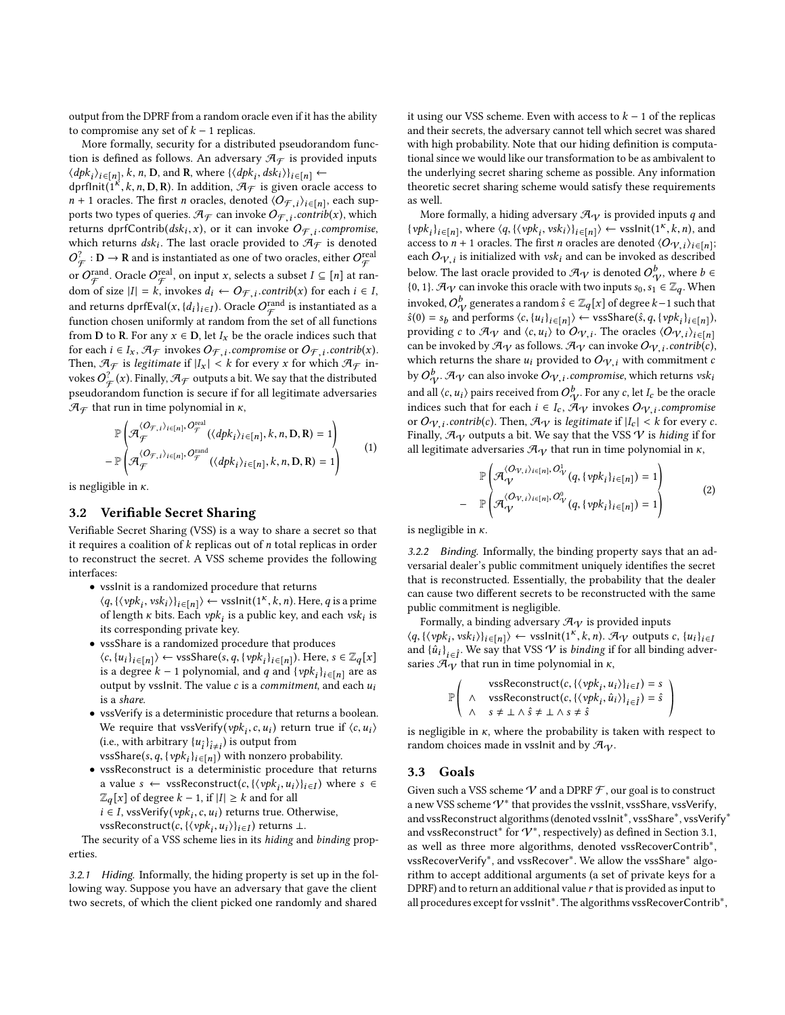output from the DPRF from a random oracle even if it has the ability to compromise any set of  $k - 1$  replicas.

More formally, security for a distributed pseudorandom function is defined as follows. An adversary  $\mathcal{A}_{\mathcal{F}}$  is provided inputs  $\langle \frac{dpk_i}{i\epsilon[n]}, k, n, D, \text{ and } R, \text{ where } \{ \frac{dpk_i}{dsk_i} \}_{i \in [n]} \leftarrow$ 

dprfInit( $I^{\kappa}$ , k, n, D, R). In addition,  $\mathcal{A}_{\mathcal{F}}$  is given oracle access to  $n + 1$  oracles. The first n oracles denoted  $(\mathcal{O}_{\mathcal{F}})$ , such support  $n + 1$  oracles. The first *n* oracles, denoted  $\langle O_{\mathcal{F},i} \rangle_{i \in [n]}$ , each supports two types of queries  $\mathcal{A}_{\mathcal{F}}$  can invoke  $O_{\mathcal{F},i}$  contrib(x) which ports two types of queries.  $\mathcal{A}_{\mathcal{F}}$  can invoke  $O_{\mathcal{F},i}$  contrib(x), which<br>returns dprfContrib(dsk: x), or it can invoke  $O_{\mathcal{F},i}$  compromise returns dprfContrib( $dsk_i, x$ ), or it can invoke  $O_{\mathcal{F}, i}$ .compromise, which returns  $dsk_i$ . The last oracle provided to  $\mathcal{A}_{\mathcal{F}}$  is denoted which returns  $dsk_i$ . The last oracle provided to  $\mathcal{A}_{\mathcal{F}}$  is denoted  $\Omega_{\mathcal{F}}^2$ .  $\mathbf{D}_{\mathcal{F}}$ ,  $\mathbf{D}_{\mathcal{F}}$  and is instantisted as an a of two appeles, either  $\Omega_{\mathcal{F}}^{rel}$  $O_{\mathcal{F}}^? : \mathrm{D} \to \mathrm{R}$  and is instantiated as one of two oracles, either  $O_{\mathcal{F}}^{\mathrm{real}}$ or  $O_f^{\text{rand}}$ . Oracle  $O_f^{\text{real}}$ , on input x, selects a subset  $I \subseteq [n]$  at ran-<br>demographic  $I|_{\mathcal{F}}$  is used to  $f$  and  $\mathcal{F}$  are contributed for each i.e. I. dom of size  $|I| = k$ , invokes  $d_i \leftarrow O_{\mathcal{F},i}$ .contrib(x) for each  $i \in I$ ,<br>and natures degree  $|f(x)| \leq \lambda$ . Oracle O<sup>rand</sup> is instantiated as a and returns dprfEval(x,  $\{d_i\}_{i \in I}$ ). Oracle  $O_f^{\text{rand}}$  is instantiated as a function chosen uniformly et random from the set of all functions function chosen uniformly at random from the set of all functions from D to R. For any  $x \in D$ , let  $I_x$  be the oracle indices such that for each  $i \in I_x$ ,  $\mathcal{A}_{\mathcal{F}}$  invokes  $O_{\mathcal{F},i}$ , compromise or  $O_{\mathcal{F},i}$ , contrib(x).<br>Then  $\mathcal{A}_{\mathcal{F}}$  is legitimate if  $|I| < k$  for every x for which  $\mathcal{A}_{\mathcal{F}}$  in-Then,  $\mathcal{A}_{\mathcal{F}}$  is legitimate if  $|I_x| < k$  for every x for which  $\mathcal{A}_{\mathcal{F}}$  invokes  $O_{\mathcal{F}}^2(x)$ . Finally,  $\mathcal{A}_{\mathcal{F}}$  outputs a bit. We say that the distributed pseudorandom function is secure if for all legitimate adversaries  $\mathcal{A}_{\mathcal{F}}$  that run in time polynomial in  $\kappa$ ,

<span id="page-4-3"></span>
$$
\mathbb{P}\left(\mathcal{A}_{\mathcal{F}}^{\langle O_{\mathcal{F},i}\rangle_{i\in[n]},O_{\mathcal{F}}^{\text{real}}}(\langle dpk_{i}\rangle_{i\in[n]},k,n,\mathbf{D},\mathbf{R})=1\right) - \mathbb{P}\left(\mathcal{A}_{\mathcal{F}}^{\langle O_{\mathcal{F},i}\rangle_{i\in[n]},O_{\mathcal{F}}^{\text{rand}}}(\langle dpk_{i}\rangle_{i\in[n]},k,n,\mathbf{D},\mathbf{R})=1\right)
$$
(1)

is negligible in  $\kappa$ .

#### <span id="page-4-0"></span>3.2 Verifiable Secret Sharing

Verifiable Secret Sharing (VSS) is a way to share a secret so that it requires a coalition of  $k$  replicas out of  $n$  total replicas in order to reconstruct the secret. A VSS scheme provides the following interfaces:

- vssInit is a randomized procedure that returns
- $\langle q, \{\langle vpk_i, vsk_i \rangle\}_{i \in [n]} \rangle \leftarrow$  vsslnit(1<sup>k</sup>, k, n). Here, q is a prime of length  $\kappa$  hits. Each  $v\kappa$ , is a public key, and each  $v\kappa$ , is of length  $\kappa$  bits. Each  $vpk_i$  is a public key, and each vs $k_i$  is<br>its corresponding private key its corresponding private key.
- vssShare is a randomized procedure that produces  $\langle c, \{u_i\}_{i \in [n]} \rangle \leftarrow \text{vssShare}(s, q, \{vpk_i\}_{i \in [n]})$ . Here,  $s \in \mathbb{Z}_q[x]$ <br>is a degree  $k-1$  polynomial, and a and  $\{vpk_i\}_{i \in [n]}$  are as is a degree  $k - 1$  polynomial, and q and  $\{vpk_i\}_{i \in [n]}$  are as<br>output by vsslnit. The value c is a commitment and each u output by vsslnit. The value  $c$  is a commitment, and each  $u_i$ is a share.
- vssVerify is a deterministic procedure that returns a boolean. We require that vssVerify( $vpk_i, c, u_i$ ) return true if  $\langle c, u_i \rangle$ <br>(i.e. with arbitrary  $\{u_k\}_{k=1}^{\infty}$ ) is output from (i.e., with arbitrary  $\{u_i\}_{i\neq j}$ ) is output from<br>vssShare(s, a, {vpk, }, {-t, }) with nonzero p

vssShare(s, q, { $vpk_i$ } $i \in [n]$ ) with nonzero probability.<br>vssReconstruct is a deterministic procedure that

• vssReconstruct is a deterministic procedure that returns a value  $s \leftarrow$  vssReconstruct(c, { $\langle vpk_i, u_i \rangle$ }<sub>i∈I</sub>) where  $s \in \mathbb{Z}_e[x]$  of degree  $k - 1$  if  $|I| > k$  and for all  $\mathbb{Z}_q[x]$  of degree  $k - 1$ , if  $|I| \ge k$  and for all  $i \in I$ , yes Verify (*ypk*, c, y) returns true. Of

 $i \in I$ , vssVerify(*vpk<sub>i</sub>*, *c*, *u<sub>i</sub>*) returns true. Otherwise,<br>vssReconstruct(*c*, {(*vnk*, *ui*)}, *ci*) returns | vssReconstruct(c,  $\{\langle p_k, u_i \rangle\}_{i \in I}$ ) returns  $\perp$ .<br>security of a VSS scheme lies in its hiding an

The security of a VSS scheme lies in its hiding and binding properties.

3.2.1 Hiding. Informally, the hiding property is set up in the following way. Suppose you have an adversary that gave the client two secrets, of which the client picked one randomly and shared

it using our VSS scheme. Even with access to  $k − 1$  of the replicas and their secrets, the adversary cannot tell which secret was shared with high probability. Note that our hiding definition is computational since we would like our transformation to be as ambivalent to the underlying secret sharing scheme as possible. Any information theoretic secret sharing scheme would satisfy these requirements as well.

More formally, a hiding adversary  $\mathcal{A}_{\gamma}$  is provided inputs q and  $\{vpk_i\}_{i\in[n]},$  where  $\{q, \{\langle vpk_i, vsk_i\rangle\}_{i\in[n]}\}\leftarrow \text{vsshift}(1^k, k, n),$  and  $\{acces \text{ to } n+1 \text{ or } \text{ackes} \text{ or } \text{or } \text{chooseed}(Q_i, \cdot) \}_{i\in[n]}\}$ access to  $n + 1$  oracles. The first n oracles are denoted  $\langle O_V, i \rangle_{i \in [n]}$ ;<br>each  $O_{\mathcal{O}_V,i}$  is initialized with usk, and can be invoked as described each  $O_{V,i}$  is initialized with vsk<sub>i</sub> and can be invoked as described<br>helow. The last angels arguided to  $\mathcal{I}_{v,i}$  is denoted  $O_{V,i}^{k}$  where h  $\epsilon$ below. The last oracle provided to  $\mathcal{A}_{\mathcal{V}}$  is denoted  $O_{\mathcal{V}}^b$ , where  $b \in$ {0, 1}.  $\mathcal{A}_{\gamma}$  can invoke this oracle with two inputs  $s_0, s_1 \in \mathbb{Z}_q$ . When invoked,  $O_V^b$  generates a random  $\hat{s} \in \mathbb{Z}_q[x]$  of degree  $k-1$  such that  $\hat{s}(0) = s_0$  and performs  $(s_0[u_1], s_1)$ . Vershare( $\hat{s}_0$  a lank  $|s_0|$ ,  $s_1$ )  $\hat{s}(0) = s_b$  and performs  $\langle c, \{u_i\}_{i \in [n]}\rangle \leftarrow \text{vssShare}(\hat{s}, q, \{vpk_i\}_{i \in [n]})$ ,<br>providing  $c$  to  $\mathcal{A}_{\alpha}$  and  $\langle c, u_i \rangle$  to  $Q_{\alpha}$ . The oracles  $\langle Q_{\alpha}, \cdot \rangle_{\alpha}$ providing c to  $\mathcal{A}_{\mathcal{V}}$  and  $\langle c, u_i \rangle$  to  $O_{\mathcal{V},i}$ . The oracles  $\langle O_{\mathcal{V},i} \rangle_{i \in [n]}$ <br>can be invoked by  $\mathcal{A}_{\mathcal{U}}$  as follows  $\mathcal{A}_{\mathcal{U}}$  can invoke  $O_{\mathcal{U},i}$  contribute can be invoked by  $\mathcal{A}_{\mathcal{V}}$  as follows.  $\mathcal{A}_{\mathcal{V}}$  can invoke  $O_{\mathcal{V},i}$  contrib(c), which returns the share  $u_i$  provided to  $O_{\mathcal{U},i}$  with commitment c which returns the share  $u_i$  provided to  $O_{V,i}$  with commitment c by  $O_V^b$ .  $\mathcal{A}_V$  can also invoke  $O_{V,i}$  *compromise*, which returns vsk<sub>i</sub> and all  $\langle c, u_i \rangle$  pairs received from  $O_Q^b$ . For any c, let  $I_c$  be the oracle<br>indices such that for each  $i \in I$ ,  $\mathcal{A}$  as involves  $O_{2v}$ , compromise indices such that for each  $i \in I_c$ ,  $\mathcal{A}_{\mathcal{V}}$  invokes  $O_{\mathcal{V},i}$  compromise<br>or  $O_{\mathcal{U},i}$  contrib(c). Then  $\mathcal{A}_{\mathcal{U}}$  is legitimate if  $|I| < k$  for every c or  $O_{\mathcal{V},i}$  contrib(c). Then,  $\mathcal{A}_{\mathcal{V}}$  is legitimate if  $|I_c| < k$  for every c.<br>Finally,  $\mathcal{A}_{i,j}$  outputs a bit. We say that the VSS  $\mathcal{V}$  is hiding if for Finally,  $\mathcal{A}_{\gamma}$  outputs a bit. We say that the VSS  $\gamma$  is hiding if for all legitimate adversaries  $\mathcal{A}_{\gamma}$  that run in time polynomial in  $\kappa$ ,

<span id="page-4-2"></span>
$$
\mathbb{P}\left(\mathcal{A}_{\mathcal{V}}^{\langle \mathcal{O}_{\mathcal{V},i}\rangle_{i\in[n]},\mathcal{O}_{\mathcal{V}}^1}(q,\{vpk_i\}_{i\in[n]})=1\right) - \mathbb{P}\left(\mathcal{A}_{\mathcal{V}}^{\langle \mathcal{O}_{\mathcal{V},i}\rangle_{i\in[n]},\mathcal{O}_{\mathcal{V}}^0}(q,\{vpk_i\}_{i\in[n]})=1\right)
$$
(2)

is negligible in  $\kappa$ .

3.2.2 Binding. Informally, the binding property says that an adversarial dealer's public commitment uniquely identifies the secret that is reconstructed. Essentially, the probability that the dealer can cause two different secrets to be reconstructed with the same public commitment is negligible.

Formally, a binding adversary  $\mathcal{A}_{\gamma}$  is provided inputs  $\langle q, \{\langle vpk_i, vsk_i\rangle\}_{i\in[n]} \rangle \leftarrow \text{vsshift}(1^k, k, n)$ .  $\mathcal{A}_{\mathcal{V}}$  outputs c,  $\{u_i\}_{i\in[n]}$ <br>and  $\{\hat{u}_i\}_{i\in[N]}$  We say that VSS V is binding if for all binding adver and  $\{\hat{u}_i\}_{i \in \hat{I}}$ . We say that VSS  $\hat{V}$  is *binding* if for all binding adversaries  $\mathcal{A}_{\text{rel}}$  that run in time polynomial in  $\kappa$ and  $\{u_i\}_{i \in \hat{I}}$ . We say that vSS V is *binaing* in saries  $\mathcal{A}_{\mathcal{V}}$  that run in time polynomial in  $\kappa$ ,

$$
\mathbb{P}\left(\begin{array}{cc} \text{vssReconstruct}(c, \{\langle vpk_i, u_i \rangle\}_{i \in I}) = s \\ \wedge & \text{vssReconstruct}(c, \{\langle vpk_i, \hat{u}_i \rangle\}_{i \in \hat{I}}) = \hat{s} \\ \wedge & s \neq \bot \wedge \hat{s} \neq \bot \wedge s \neq \hat{s} \end{array}\right)
$$

is negligible in  $\kappa$ , where the probability is taken with respect to random choices made in vestuit and by  $\mathcal{A}_{2}$ . random choices made in vsslnit and by  $\mathcal{A}_{\gamma}$ .

#### <span id="page-4-1"></span>3.3 Goals

Given such a VSS scheme  $V$  and a DPRF  $\mathcal F$ , our goal is to construct a new VSS scheme  $\mathcal{V}^*$  that provides the vsslnit, vssShare, vssVerify, and vssReconstruct algorithms (denoted vssInit<sup>∗</sup>, vssShare<sup>∗</sup>, vssVerify<sup>∗</sup> and vss<br>Reconstruct\*<br/> for  $\mathcal{V}^*$  , respectively) as defined in Section [3.1,](#page-3-0) as well as three more algorithms, denoted vssRecoverContrib<sup>\*</sup>, vssRecoverVerify<sup>∗</sup>, and vssRecover<sup>∗</sup>. We allow the vssShare<sup>∗</sup> algorithm to accept additional arguments (a set of private keys for a DPRF) and to return an additional value  $r$  that is provided as input to all procedures except for vssInit $^\ast$ . The algorithms vssRecover $\tilde{\rm C}$ ontrib $^\ast,$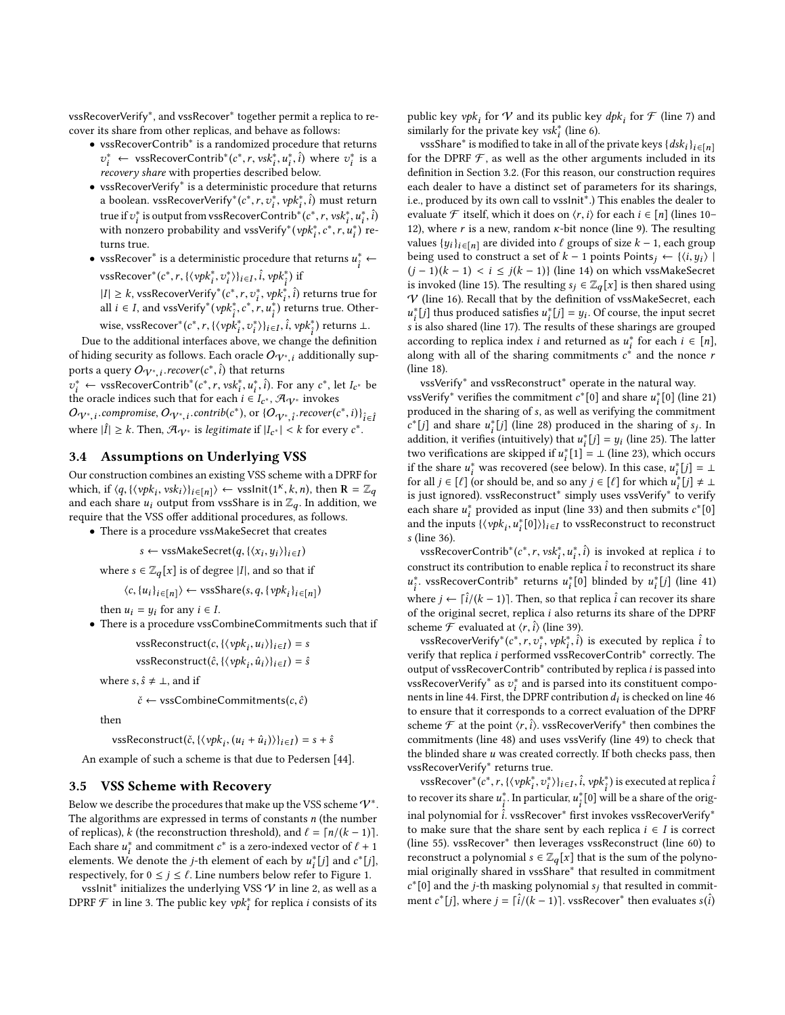vssRecoverVerify<sup>∗</sup>, and vssRecover<sup>∗</sup> together permit a replica to recover its share from other replicas, and behave as follows:

- vssRecoverContrib<sup>∗</sup> is a randomized procedure that returns  $\frac{1}{2}$  recovery share with properties described below. <sup>\*</sup> ← vssRecoverContrib<sup>\*</sup>( $c^*$ , *r*, *vsk*<sup>\*</sup><sub>i</sub>, *u*<sup>\*</sup><sub>i</sub>, *î*) where  $v_i^*$  is a *ecovery share* with properties described below.
- vssRecoverVerify<sup>∗</sup> is a deterministic procedure that returns a boolean. vssRecoverVerify\*( $c^*, r, v_t^*, vpk_t^*, \hat{i}$ ) must return true if  $v_i^*$  is output from vssRecoverContrib<sup>∗</sup>( $c^*, r, v s k_i^*, u_i^*, i$ )<br>with nonzero probability and vssVerify\*( $v n k^* \ c^* \ r, u^*$ ) rewith nonzero probability and vssVerify<sup>\*</sup>(vpk<sup>\*</sup>,c<sup>\*</sup>,c,x,u<sup>\*</sup>)<sup>1</sup> ∗  $, \ldots$ ∗ ) returns true.
- vssRecover<sup>\*</sup> is a deterministic procedure that returns  $u_i^* \leftarrow$ <br>vssRecover<sup>\*</sup>(c<sup>\*</sup> r {(*vn*k<sup>\*</sup> c<sup>\*</sup>)\:-*x*  $\hat{i}$  *yn*k<sup>\*</sup>) if vssRecover<sup>\*</sup> $(c^*, r, \{\langle vpk_i^*, v\}\)$  $|I| \ge k$ , vssRecoverVerify\*( $c^*, r, v_i^*, vpk_i^*, i$ ) returns true for<br>  $|I| \ge k$ , vssRecoverVerify\*( $c^*, r, v_i^*, vpk_i^*, i$ ) returns true for  $\{i\}\}_{i\in I}, \hat{i}, vpk_{\hat{i}}^*$ ) if all  $i \in I$ , and vssVerify<sup>\*</sup>(vp $k_i^*, c^*, r, u_i^*$ ) re  $\frac{d}{dt}$  i e 1, and vssverify  $(\nu p \kappa_i^*, c^*, t, \{a_i\})$  returns true. One<br>wise, vssRecover\* $(c^*, r, \{(\nu p \kappa_i^*, v_i^*)\}_{i \in I}, \hat{i}, \nu p \kappa_i^*)$  returns  $\perp$ . ∗ , . , . .<br>. . . ∗ ) returns true. Other-

wise, vissue over  $(i, t, i \vee p \wedge i, i \vee p \wedge i, i \vee p \wedge i)$  returns  $\perp$ .<br>Due to the additional interfaces above, we change the definition of hiding security as follows. Each oracle  $O_{V^*,i}$  additionally sup-<br>parts a super  $O_{V^*}$  measure  $(s^*)$  that returns ports a query  $O_{\mathcal{V}^*,i}$  recover( $c^*, \hat{i}$ ) that returns

 $\vec{i} \leftarrow \text{vsRecoverCortrib}^*(c^*, r, \text{vsk}_i^*, u_i^*, \hat{\textbf{i}}).$  For any  $c^*$ , let  $I_{c^*}$  be<br>he oracle indices such that for each  $i \in I_{c^*}$ . A  $a_i$  invokes <sup>1</sup><sup>1</sup> the oracle indices such that for each i ∈  $l_e^*, \mathcal{A}_{\gamma^*}$  invokes  $O_{\mathcal{V}^*_{i,l}}$ .compromise,  $O_{\mathcal{V}^*_{i,l}}$ .contrib( $c^*$ ), or  $\{O_{\mathcal{V}^*_{i,l}}$ .recover $(c^*,i)\}_{i\in\hat{I}}$ <br>where  $\hat{I}^{\dagger}_{i,k} > k$ . Then  $\mathcal{A}_{i,k}$  is legitimate if  $|I_{i,k}| > k$  for every  $c^*$ 

where  $|\hat{I}| \geq k$ . Then,  $\mathcal{A}_{\mathcal{V}^*}$  is *legitimate* if  $|I_{c^*}| < k$  for every  $c^*$ .

## <span id="page-5-0"></span>3.4 Assumptions on Underlying VSS

Our construction combines an existing VSS scheme with a DPRF for which, if  $\langle q, {\langle \langle \gamma k_i, \gamma k_i \rangle \rangle}_{i \in [n]} \rangle \leftarrow \text{vsshift}(1^k, k, n)$ , then  $\mathbb{R} = \mathbb{Z}_q$ <br>and each share  $\mu_i$  output from vssShare is in  $\mathbb{Z}_n$ . In addition we and each share  $u_i$  output from vssShare is in  $\mathbb{Z}_q$ . In addition, we require that the VSS offer additional procedures, as follows.

• There is a procedure vssMakeSecret that creates

 $s \leftarrow$  vssMakeSecret $(q, \{\langle x_i, y_i \rangle\}_{i \in I})$ 

where  $s \in \mathbb{Z}_q[x]$  is of degree |*I*|, and so that if

$$
\langle c, \{u_i\}_{i \in [n]} \rangle \leftarrow \text{vssShare}(s, q, \{vpk_i\}_{i \in [n]})
$$

then  $u_i = y_i$  for any  $i \in I$ .

• There is a procedure vssCombineCommitments such that if

vssReconstruct(c, { $\langle vpk_i, u_i \rangle$ } $_{i \in I}$ ) = s

$$
\text{vssReconstruct}(\hat{c}, \{\langle vpk_i, \hat{u}_i \rangle\}_{i \in I}) = \hat{s}
$$

where  $s, \hat{s} \neq \bot$ , and if

 $\check{c} \leftarrow$  vssCombineCommitments( $c, \hat{c}$ )

then

vssReconstruct(č, { $\langle vpk_i, (u_i + \hat{u}_i) \rangle\}_{i \in I}$ ) = s + ŝ

An example of such a scheme is that due to Pedersen [\[44\]](#page-13-8).

#### <span id="page-5-1"></span>3.5 VSS Scheme with Recovery

Below we describe the procedures that make up the VSS scheme  $\mathcal{V}^*$ . The algorithms are expressed in terms of constants  $n$  (the number of replicas), k (the reconstruction threshold), and  $\ell = \lceil n/(k-1) \rceil$ . Each share  $u_i^*$  and commitment  $c^*$  is a zero-indexed vector of  $\ell + 1$ <br>elements We denote the *i*-th element of each by  $u^*[i]$  and  $c^*[i]$ elements. We denote the *j*-th element of each by  $u_i^*[j]$  and  $c^*[j]$ ,<br>respectively for  $0 \le i \le \ell$ . Line numbers below refer to Figure 1. respectively, for  $0 \le j \le \ell$ . Line numbers below refer to Figure [1.](#page-6-1)<br>
vecloit<sup>\*</sup> initializes the underlying VSS (V in line 2, as well as

 $\overline{\mathsf{v}}$ ssInit $^*$  initializes the underlying VSS  $\mathcal V$  in line [2,](#page-6-1) as well as a DPRF  $\mathcal F$  in line [3.](#page-6-1) The public key  $\mathit{vpk}_i^*$  for replica *i* consists of its public key vpk<sub>i</sub> for V and its public key dpk<sub>i</sub> for  $\mathcal F$  (line [7\)](#page-6-1) and .<br>similarly for the private key vsk<sup>\*</sup><sub>i</sub> (line [6\)](#page-6-1).

vssShare<sup>∗</sup> is modified to take in all of the private keys  $\{dsk_i\}_{i \in [n]}$ <br>the DPRE  $\mathcal{F}_i$  as well as the other arguments included in its for the DPRF  $\mathcal F$ , as well as the other arguments included in its definition in Section [3.2.](#page-4-0) (For this reason, our construction requires each dealer to have a distinct set of parameters for its sharings, i.e., produced by its own call to vssInit<sup>∗</sup>.) This enables the dealer to evaluate  $\mathcal F$  itself, which it does on  $\langle r, i \rangle$  for each  $i \in [n]$  (lines [10–](#page-6-1) [12\)](#page-6-1), where r is a new, random  $\kappa$ -bit nonce (line [9\)](#page-6-1). The resulting values  ${y_i}_{i \in [n]}$  are divided into  $ℓ$  groups of size  $k − 1$ , each group being used to construct a set of  $k - 1$  points Points $j \leftarrow \{ \langle i, y_i \rangle \mid$  $(j-1)(k-1) < i \leq j(k-1)$ } (line [14\)](#page-6-1) on which vssMakeSecret is invoked (line [15\)](#page-6-1). The resulting  $s_j \in \mathbb{Z}_q[x]$  is then shared using  $V$  (line [16\)](#page-6-1). Recall that by the definition of vssMakeSecret, each if  $U_1$  also shared (line [17\)](#page-6-1). The results of these sharings are grouped<br>s is also shared (line 17). The results of these sharings are grouped<br>according to replice index i and returned as  $u^*$  for each  $i \in [n]$ <sup>\*</sup>\*[*j*] thus produced satisfies  $u_i^*$ [*j*] =  $y_i$ . Of course, the input secret is also shared (line 17). The results of these sharings are ground according to replica index *i* and returned as  $u_i^*$  for each  $i \in [n]$ ,<br>along with all of the sharing commitments  $c_i^*$  and the nonce r along with all of the sharing commitments  $c^*$  and the nonce *r* (line 18) (line [18\)](#page-6-1).

vssVerify<sup>∗</sup> and vssReconstruct<sup>∗</sup> operate in the natural way. vssVerify<sup>\*</sup> verifies the commitment  $c^*[0]$  and share  $u_i^*[0]$  (line [21\)](#page-6-1)<br>produced in the sharing of s. as well as verifying the commitment produced in the sharing of s, as well as verifying the commitment  $e^*$  il and share  $u^*[i]$  (line 28) produced in the sharing of s. In addition, it verifies (intuitively) that  $u_i^*[j] = y_i$  (line [25\)](#page-6-1). The latter<br>two verifiestions are skinned if  $u_i^*[1] = + ($ line 23) which occurs \*[*j*] and share  $u_i^*$ [*j*] (line [28\)](#page-6-1) produced in the sharing of s<sub>*j*</sub>. In different intervals that  $u^*[i] = u_i$  (line 25). The latter two verifications are skipped if  $u_i^*[1] = \perp$  (line [23\)](#page-6-1), which occurs<br>if the share  $u^*$  was recovered (see below). In this case  $u^*[i] = \perp$ if the share  $u_i^*$  was recovered (see below). In this case,  $u_i^*[j] = \bot$  for all  $i \in [l]$  (or should be and so any  $i \in [l]$  for which  $u_i^*[i] \neq \bot$ for all  $j \in [\ell]$  (or should be, and so any  $j \in [\ell]$  for which  $u_i^*[\tilde{j}] \neq \bot$ <br>is just impared), vse Reconstruct\* simply uses vse Verify\* to verify i is just ignored). vssReconstruct<sup>∗</sup> simply uses vssVerify<sup>∗</sup> to verify each share  $u_i^*$  provided as input (line [33\)](#page-6-1) and then submits  $c^*[0]$ <br>and the inputs  $l$  (when  $u^*[0]$ )), s to yes Reconstruct to reconstruct and the inputs  $\{\langle vpk_i, u\}$  s (line 36)  $\{[0]\}\}_{i \in I}$  to vssReconstruct to reconstruct s (line [36\)](#page-6-1).

vssRecoverContrib<sup>∗</sup> $(c^*, r, v s k_i^*, \hat{i})$  is invoked at replica *i* to experiment its above  $\frac{1}{100}$  contribution to enable replica  $\frac{1}{100}$  to reconstruct its share<br>construct its contribution to enable replica  $\frac{1}{100}$  to reconstruct its share where  $j \leftarrow \left[\hat{i}/(k-1)\right]$ . Then, so that replica  $\hat{i}$  can recover its share<br>of the original secret replica *i* also returns its share of the DPRF ∗ . vssRecoverContrib<sup>∗</sup> returns u ∗ [0] blinded by u ∗ [j] (line [41\)](#page-6-1) of the original secret, replica i also returns its share of the DPRF scheme  $\mathcal F$  evaluated at  $\langle r, \hat{i} \rangle$  (line [39\)](#page-6-1).<br>
Note Recover  $\langle \text{erify}^*(c^*, r, z^*, z_0) \rangle$ 

vssRecoverVerify<sup>\*</sup>( $c^*, r, v_i^*, \rho k_i^*, \hat{i}$ ) is executed by replica  $\hat{i}$  to  $\hat{i}$  to  $\hat{i}$  that replica i performed vssRecoverContrib\* correctly. The  $\frac{1}{2}$  is the replica i performed vssRecoverContrib<sup>\*</sup> correctly. The output of vssRecoverContrib<sup>\*</sup> contributed by replica i performed vssRecoverContrib<sup>\*</sup> correctly. output of vssRecoverContrib<sup>∗</sup> contributed by replica *i* is passed into<br>vssRecoverVerify<sup>∗</sup> as z<sup>\*</sup> and is parsed into its constituent compo vssRecoverVerify<sup>\*</sup> as  $v_i^*$  and is parsed into its constituent components in line 44. First the DPPF contribution d; is checked on line 46 nents in line [44.](#page-6-1) First, the DPRF contribution  $d_i$  is checked on line [46](#page-6-1) to ansure that it corresponds to a correct evaluation of the DPPF to ensure that it corresponds to a correct evaluation of the DPRF scheme  $\mathcal F$  at the point  $\langle r, \hat{i} \rangle$ , vssRecoverVerify<sup>\*</sup> then combines the commitments (line 48) and uses vssVerify (line 49) to check that commitments (line [48\)](#page-6-1) and uses vssVerify (line [49\)](#page-6-1) to check that the blinded share  $u$  was created correctly. If both checks pass, then vssRecoverVerify<sup>∗</sup> returns true.

 $\text{vssRecover}^*(c^*, r, \{\langle vpk_i^*, v_i^*\rangle\}_{i\in I}, \hat{i}, vpk_i^*)$  is executed at replica  $\hat{i}$ vssnetover  $(e^t, t, \{v_p \kappa_i, v_i\})$  is executed at replica to recover its share  $u_i^*$ . In particular,  $u_i^*[0]$  will be a share of the origfor ecover its share  $u_i$ ; in particular,  $u_i$  of which is share of the original polynomial for  $\hat{i}$ . vssRecover\* first invokes vssRecoverVerify<sup>\*</sup><br>to make sure that the share sent by each replica  $i \in I$  is correct to make sure that the share sent by each replica  $i \in I$  is correct (line [55\)](#page-6-1). vssRecover<sup>∗</sup> then leverages vssReconstruct (line [60\)](#page-6-1) to reconstruct a polynomial  $s \in \mathbb{Z}_q[x]$  that is the sum of the polynomial originally shared in vssShare<sup>∗</sup> that resulted in commitment ment  $c^*[j]$ , where  $j = \frac{c_1}{i}((k-1))$ . vssRecover<sup>\*</sup> then evaluates  $s(i)$ \*[0] and the *j*-th masking polynomial  $s_j$  that resulted in commit-<br>next  $s^*[i]$ , where  $i = \hat{i}^i/(k-1)$ , we Becover,\* then evaluates  $s(i)$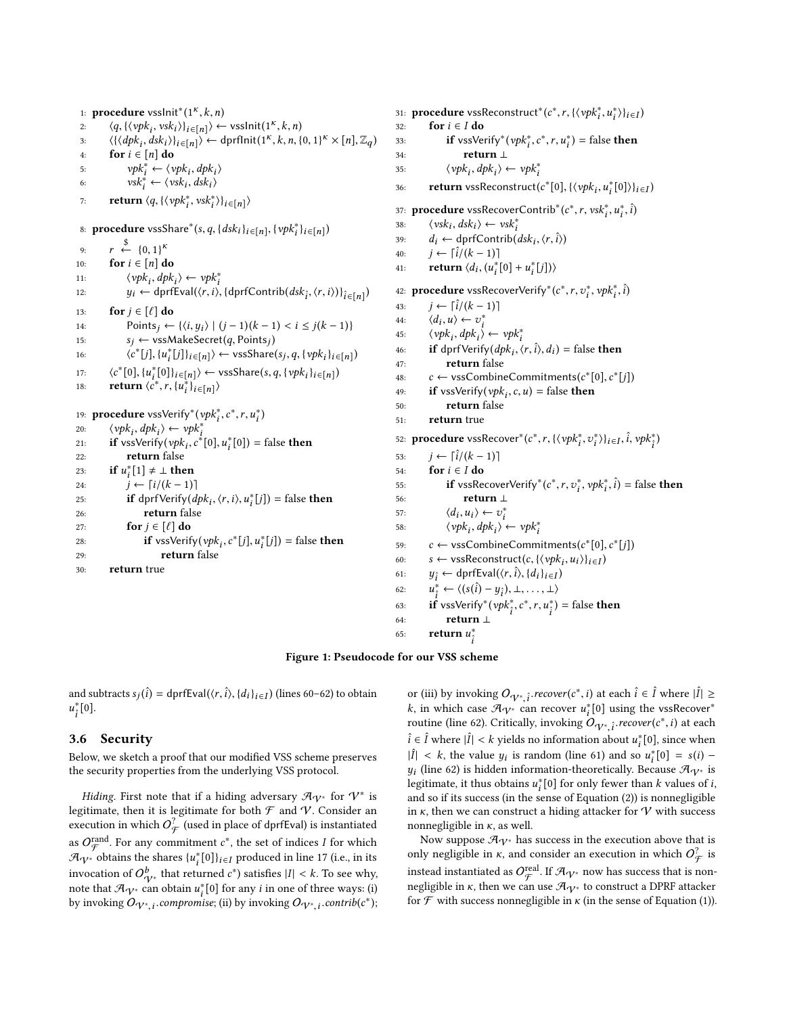<span id="page-6-1"></span>1: **procedure** vsslnit<sup>\*</sup>  $(1^k, k, n)$ 2:  $\langle q, {\langle \langle \nu p k_i, \nu s k_i \rangle \rangle}_{i \in [n]} \rangle \leftarrow \text{vsslnit}(1^k, k, n)$ <br>3.  $\langle {\langle \langle \text{dk}, \text{dk} \rangle \rangle}_{i \in [n]} \rangle \leftarrow \text{dnrflnit}(1^k, k, n)$ 3:  $\langle \{ \langle dpk_i, dsk_i \rangle \}_{i \in [n]} \rangle \leftarrow \text{dprflnit}(1^{\kappa}, k, n, \{0, 1\}^{\kappa} \times [n], \mathbb{Z}_q)$ 4: for  $i \in [n]$  do 5:  $vpk_i^* \leftarrow \langle vpk_i, dpk_i \rangle$ <br>6:  $vsk_i^* \leftarrow \langle vsk_i, dsk_i \rangle$ 6:  $\overrightarrow{vsk_i^*} \leftarrow \langle vsk_i, dsk_i \rangle$ 7: **return**  $\langle q, {\{\langle vpk_i^*, vsk_i^*\rangle\}}_{i \in [n]} \rangle$ 8: **procedure** vssShare<sup>\*</sup>(s, q, { $dsk_i$ }<sub>i ∈[n]</sub>, { $vpk_i^*$ }<sub>i ∈[n]</sub>) 9: r<br>0. <del>f</del>  $\xi \in \{0,1\}^K$ <br>ri $\in$  [n] d 10: **for**  $i \in [n]$  **do**<br>11:  $\langle vpk_i, dpk \rangle$ 11:  $\langle vpk_i, dpk_i \rangle \leftarrow vpk_i^*$ <br>
12:  $u_i \leftarrow \text{dnrfEval}(\langle r, i \rangle)$ 12:  $y_i \leftarrow \text{dprfEval}(\langle r, i \rangle, \{\text{dprfContrib}(dsk_i^*, \langle r, i \rangle)\}_{i \in [n]})$ 13: **for**  $j \in [\ell]$  **do**<br>14: **Points**  $\leftarrow$ 14: Points $j \leftarrow \{ \langle i, y_i \rangle \mid (j-1)(k-1) < i \le j(k-1) \}$ <br>15: s: ← vssMakeSecret(*a*, Points;) 15:  $s_j \leftarrow \text{vsSMakeSecret}(q, \text{Points}_j)$ <br>  $(s^*[\text{il } [n^*[\text{il}], s]) \leftarrow \text{vssShare}$ 16:  $\langle c \rangle$ \*[j], { $u_i^*[j]$ }<sub>*i*∈[n]</sub> $\rangle$  ← vssShare(s<sub>j</sub>, q, {*vpk<sub>i</sub>*}<sub>*i*∈[n]</sub> $\rangle$ 17:  $\langle c^*[0], \{u_i^*[0]\}_{i \in [n]}\rangle \leftarrow \text{vssShare}(s, q, \{vpk_i\}_{i \in [n]})$ <br>
18: **return**  $\langle c^* \mid t^{*}\rangle_{t \in [n]}\rangle$ 18: return  $\langle c^*, r, \{u_i^*\}_{i \in [n]}$ 19: **procedure** vssVerify<sup>\*</sup>(*vpk*<sup>\*</sup><sub>*i*</sub>, *c*<sup>20</sup> ∗ ∗ )

 $\mathcal{L}$ 20:  $\langle vpk_i, dpk_i \rangle \leftarrow vpk_i^*$ <br>21. **if** yss Verify (*ypk*,  $c^*$ 21: **if** vssVerify(*vpk<sub>i</sub>*,  $c^*$ 22: **return** false  $*(0], u_i^*[0]) =$  false then 23: if  $u_i^*[1] \neq \perp$  then 24:  $j \leftarrow \lceil i/(k-1) \rceil$ <br>25. **if** dprf\/erify(d 25: if dprfVerify $(dpk_i, \langle r, i \rangle, u_i^*[j]) =$  false then 26: return false 27: **for**  $j \in [\ell]$  **do**<br>28: **if** vssVerif 28: **if** vssVerify(*vpk<sub>i</sub>*,*c*  $*(j], u_i^*[j]) =$  false then 29: return false 30: return true

31: **procedure** vssReconstruct<sup>\*</sup>( $c^*$ , r, { $\langle v p k_i^*$ , u  $\binom{*}{i}\}_{i\in I}$ 32: **for**  $i \in I$  **do**<br>33: **if** vssVe 33: **if** vssVerify<sup>\*</sup>(*vpk*<sup>\*</sup><sub>*i*</sub>,*c* ∗  $\mathcal{L}$  $*_i^*$ ) = false then 34: return ⊥ 35:  $\langle vpk_i, dpk_i \rangle \leftarrow vpk_i^*$ 36: return vssReconstruct( $c^*[0]$ , { $\langle vpk_i, u \rangle$  $_{i}^{*}[0]\rangle$ <sub>i</sub> $\in$ *I*) 37: **procedure** vssRecoverContrib<sup>\*</sup>  $(c^*, r, v s k_i^*, u)$ ∗  $\hat{i}$ 38:  $\langle vsk_i, dsk_i \rangle \leftarrow vsk_i^*$ 39:  $d_i \leftarrow \text{dprfContrib}(dsk_i, \langle r, \hat{i} \rangle)$ <br>40:  $i \leftarrow \left[\hat{i}/(k-1)\right]$ 40:  $j \leftarrow \lceil \hat{i}/(k-1) \rceil$ <br>41: **return**  $\langle d_i, (u^* \rceil) \rangle$ 41: **return**  $\langle d_i, (u_i^*[0] + u_i^*[j]) \rangle$ 42: **procedure** vssRecoverVerify<sup>\*</sup>( $c^*$  $, \cdot, \cdot$  $_i^*, vpk_i^*, \hat{i}$ 43:  $j \leftarrow \lceil \hat{i}/(k-1) \rceil$ <br>44:  $\langle d_i, u \rangle \leftarrow v^*$ 44:  $\langle d_i, u \rangle \leftarrow v_i^*$ <br>45:  $\langle v \rangle$  dok 45:  $\langle vpk_i, dpk_i \rangle \leftarrow vpk_i^*$ <br>
46. **if** dprf Verify(dpk / 46: **if** dprf Verify( $dpk_i$ ,  $\langle r, \hat{i} \rangle$ ,  $d_i$ ) = false **then** 47: return false 48:  $c \leftarrow \text{vsSCombineCommittments}(c^*[0], c^*[j])$ <br>  $\text{if } \text{vsc\text{-}varifo}(\text{wrk}, c, u) = \text{false}$  then 49: **if** vssVerify( $vpk_i, c, u$ ) = false **then** 50: return false 51: return true 52: **procedure** vssRecover<sup>\*</sup> $(c^*, r, \{\langle vpk_i^*, v\rangle\})$  $\{\{\ast\}\}_{i\in I}, \hat{i}, \nu pk_{\hat{i}}^*)$ 53:  $j \leftarrow \lceil \hat{i}/(k-1) \rceil$ <br>54: **for**  $i \in I$  **do** 54: **for**  $i \in I$  **do**<br>55: **if** vssRe 55: **if** vssRecoverVerify<sup>\*</sup>( $c^*$ ,r,v  $i^*$ ,  $vpk_i^*$ ,  $\hat{i}$ ) = false **then** 56: return ⊥ 57:  $\langle d_i, u_i \rangle \leftarrow v_i^*$ 58:  $\langle vpk_i, dpk_i \rangle \leftarrow vpk_i^*$ 59:  $c \leftarrow \text{vssCombineCommitments}(c^*[0], c^*[j])$ 60:  $s \leftarrow \text{vsReconstruct}(c, \{\langle vpk_i, u_i \rangle\}_{i \in I})$ <br>61:  $u_i \leftarrow \text{dnffEval}(r \hat{i}) \{d_i\}_{i \in I}$ 61:  $y_{\hat{i}} \leftarrow \text{dprfEval}(\langle r, \hat{i} \rangle, \{d_i\}_{i \in I})$ <br>
62:  $u^* \leftarrow \langle (s(\hat{i}) - u) \rangle$ 62:  $\frac{u}{u}$  $\begin{aligned} \n\tilde{f}_i^* \leftarrow \langle (s(\hat{i}) - y_{\hat{i}}), \perp, \ldots, \perp \rangle \\ \n\tilde{f}_i^* \text{vcs} \setminus \text{crits}^* (\text{subk}^* \circ^* \text{r}, \text{m}^*) \rangle \n\end{aligned}$ <sup>o2</sup>:  $\int_{\hat{i}}^{x} \frac{\sqrt{3}(i)}{y_i} dy$ <br>  $\int_{\hat{i}}^{x} \frac{\sqrt{3}(i)}{z_i} dy$ <br> **if** vssVerify<sup>\*</sup> (*vpk*<sup>\*</sup><sub> $\hat{i}}$ , *c*<br> **return**  $\perp$ </sub> ∗  $\binom{*}{i}$  = false then

## 65: **return**  $u_{\hat{i}}^*$ Figure 1: Pseudocode for our VSS scheme

64: return ⊥

and subtracts  $s_j(\hat{i}) = \text{dprfEval}(\langle r, \hat{i} \rangle, \{d_i\}_{i \in I})$  (lines [60–62\)](#page-6-1) to obtain  $v^*$  fol  $i^*$ [0].

#### <span id="page-6-0"></span>3.6 Security

Below, we sketch a proof that our modified VSS scheme preserves the security properties from the underlying VSS protocol.

Hiding. First note that if a hiding adversary  $\mathcal{A}_{V^*}$  for  $V^*$  is legitimate, then it is legitimate for both  $\mathcal F$  and  $\mathcal V$ . Consider an execution in which  $O_{\mathcal{F}}^?$  (used in place of dprfEval) is instantiated as  $O_f^{\text{rand}}$ . For any commitment  $c^*$ , the set of indices I for which  $\mathcal{A}_{V^*}$  obtains the shares  $\{u_i^*[0]\}_{i\in I}$  produced in line [17](#page-6-1) (i.e., in its invocation of  $O_{\mathcal{V}^*}^b$  that returned  $c^*$ ) satisfies  $|I| < k$ . To see why, note that  $\mathcal{A}_{\gamma^*}$  can obtain  $u_i^*[0]$  for any *i* in one of three ways: (i)<br>by invoking  $Q_{\gamma^*}$ , compromise (ii) by invoking  $Q_{\gamma^*}$ , contribuc<sup>\*</sup>). by invoking  $O_{\mathcal{V}^*,i}$  compromise; (ii) by invoking  $O_{\mathcal{V}^*,i}$  contrib(c<sup>\*</sup>);  $\ddot{\phantom{a}}$  $\ddot{\phantom{a}}$ 

or (iii) by invoking  $O_{\mathcal{V}^*, \hat{i}}$  *recover*  $(c^*, i)$  at each  $\hat{i} \in \hat{I}$  where  $|\hat{i}| \geq k$  in which case  $\mathcal{A}_{\alpha k}$  can recover  $u^*[0]$  using the vssRecover<sup>\*</sup> k, in which case  $\mathcal{A}_{\mathcal{V}^*}$  can recover  $u_i^*[0]$  using the vssRecover<sup>\*</sup><br>routing (line 62) Critically invoking  $Q_{\alpha}$ , recover(c<sup>\*</sup> i) at each routine (line [62\)](#page-6-1). Critically, invoking  $O_{\mathcal{V}^*,\hat{i}}$ , recover(c<sup>\*</sup>, i) at each  $\hat{i} \in \hat{i}$  where  $|\hat{i}| \leq k$  viable no information about  $\hat{i}$ <sup>\*</sup>[0], since when  $\hat{i} \in \hat{I}$  where  $|\hat{I}| < k$  yields no information about  $u_i^*[0]$ , since when  $\hat{I}$  < k, the value  $y_i$  is random (line [61\)](#page-6-1) and so  $u_i^*[0] = s(i) - t_i$  (line 62) is hidden information-theoretically Because  $\mathcal{A}_{\text{out}}$  is | (line [62\)](#page-6-1) is hidden information-theoretically. Because  $\mathcal{A}_{\mathcal{V}^*}$  is  $y_i$  (surface), it thus obtains  $u_i^*[0]$  for only fewer than k values of i, and so if its success (in the sense of Equation (2)) is nonnegligible and so if its success (in the sense of Equation [\(2\)](#page-4-2)) is nonnegligible in  $\kappa$ , then we can construct a hiding attacker for  $\mathcal V$  with success nonnegligible in  $\kappa$ , as well.

 $\mathcal{L}$ 

Now suppose  $\mathcal{A}_{V^*}$  has success in the execution above that is only negligible in *κ*, and consider an execution in which  $O_{\mathcal{F}}^2$  is instead instantiated as  $O^{\mathrm{real}}_{\mathcal{F}}.$  If  $\mathcal{A}_{\mathcal{V}^*}$  now has success that is nonnegligible in  $\kappa$ , then we can use  $\mathcal{A}_{V^*}$  to construct a DPRF attacker for  $\mathcal F$  with success nonnegligible in  $\kappa$  (in the sense of Equation [\(1\)](#page-4-3)).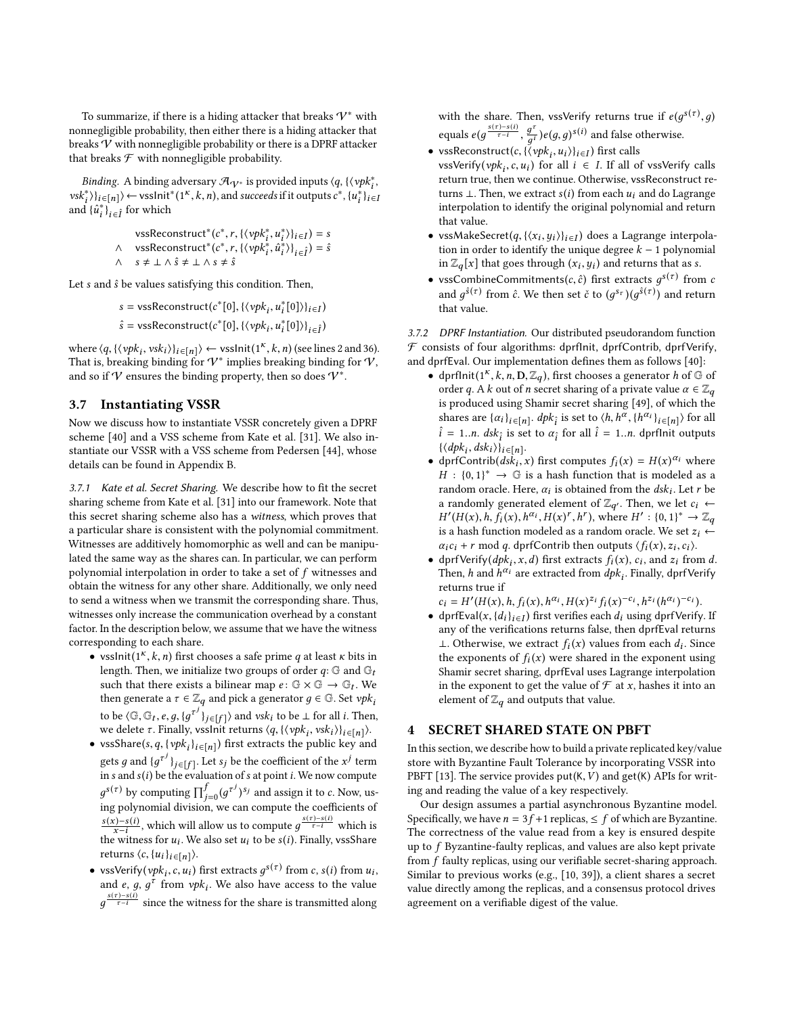To summarize, if there is a hiding attacker that breaks  $\mathcal{V}^*$  with nonnegligible probability, then either there is a hiding attacker that breaks  $V$  with nonnegligible probability or there is a DPRF attacker that breaks  $\mathcal F$  with nonnegligible probability.

Binding. A binding adversary <sup>A</sup>V<sup>∗</sup> is provided inputs ⟨q, {⟨vpk<sup>∗</sup> ,  $\left\{ \begin{matrix} v_1 & v_2 \\ v_2 & v_3 \end{matrix} \right\}$  is  $\left\{ \begin{matrix} v_1 & v_2 \\ v_3 & v_4 \end{matrix} \right\}$  is  $\left\{ \begin{matrix} v_1 & v_2 \\ v_2 & v_3 \end{matrix} \right\}$  is  $\left\{ \begin{matrix} v_1 & v_2 \\ v_3 & v_4 \end{matrix} \right\}$  is  $\left\{ \begin{matrix} v_1 & v_2 \\ v_3 & v_4 \end{matrix} \right\}$  is  $\left\{ \begin{matrix} v_1 & v_2 \\ v_3 & v_4 \$ and  $\{\hat{u}_i^*\}_{i \in \hat{I}}$  for which

vssReconstruct<sup>\*</sup>( $c^*$ ,  $r$ , { $\langle vpk_i^*, u_i^* \rangle$ } $_{i \in I}$ ) = s<br>vssReconstruct<sup>\*</sup>( $c^*$ , r,  $\{vph_i^*, u_i^* \}$ ) =  $\hat{c}$  $\therefore$  vssReconstruct\*(c\*,r, { $\langle v p k_i^*, \hat{u}_i^* \rangle_{i \in \hat{I}}$ ) =  $\hat{s}$ <br>  $\wedge$  s ≠ |  $\wedge$  ŝ ≠ |  $\wedge$  s ≠ ŝ  $\wedge$   $s \neq \perp \wedge \hat{s} \neq \perp \wedge s \neq \hat{s}$ 

Let  $s$  and  $\hat{s}$  be values satisfying this condition. Then,

s = vssReconstruct( $c^*[0]$ , { $\langle vpk_i, u \rangle$  $\binom{*}{i}[0]\rangle_{i\in I}$ 

$$
\hat{s} = \text{vssReconstruct}(c^*[0], {\langle \langle \text{vpk}_i, u_i^*[0] \rangle \}_{i \in \hat{I}})
$$

where  $\langle q, \{\langle vpk_i, vsk_i \rangle\}_{i \in [n]} \rangle \leftarrow \text{vsslnitt}(\mathbf{1}^k, k, n)$  (see lines [2](#page-6-1) and [36\)](#page-6-1).<br>That is breaking binding for  $\mathcal{V}^*$  implies breaking binding for  $\mathcal{V}$ That is, breaking binding for  $\mathcal{V}^*$  implies breaking binding for  $\mathcal{V}$ , and so if  $V$  ensures the binding property, then so does  $V^*$ .

#### <span id="page-7-0"></span>3.7 Instantiating VSSR

Now we discuss how to instantiate VSSR concretely given a DPRF scheme [\[40\]](#page-13-25) and a VSS scheme from Kate et al. [\[31\]](#page-13-4). We also instantiate our VSSR with a VSS scheme from Pedersen [\[44\]](#page-13-8), whose details can be found in Appendix [B.](#page-14-0)

<span id="page-7-1"></span>3.7.1 Kate et al. Secret Sharing. We describe how to fit the secret sharing scheme from Kate et al. [\[31\]](#page-13-4) into our framework. Note that this secret sharing scheme also has a witness, which proves that a particular share is consistent with the polynomial commitment. Witnesses are additively homomorphic as well and can be manipulated the same way as the shares can. In particular, we can perform polynomial interpolation in order to take a set of  $f$  witnesses and obtain the witness for any other share. Additionally, we only need to send a witness when we transmit the corresponding share. Thus, witnesses only increase the communication overhead by a constant factor. In the description below, we assume that we have the witness corresponding to each share.

- vsslnit( $1^k$ , k, n) first chooses a safe prime q at least κ bits in<br>length. Then, we initialize two groups of order  $a: \mathbb{G}$  and  $\mathbb{G}$ . length. Then, we initialize two groups of order  $q: \mathbb{G}$  and  $\mathbb{G}_t$ such that there exists a bilinear map  $e: \mathbb{G} \times \mathbb{G} \to \mathbb{G}_t$ . We then generate a  $\tau \in \mathbb{Z}$  and pick a generator  $a \in \mathbb{G}$ . Set which then generate a  $\tau \in \mathbb{Z}_q$  and pick a generator  $g \in \mathbb{G}$ . Set  $vpk_i$ to be  $\langle \mathbb{G}, \mathbb{G}_t, e, g, \{g^{\tau^j}\}_{j \in [f]}\rangle$  and vsk<sub>i</sub> to be  $\bot$  for all *i*. Then, we delete τ. Finally, vsslnit returns  $\langle q, {\langle \nu p k_i, \nu s k_i \rangle}_{i \in [n]} \rangle$ .<br>vssShare(s, a, { $\nu p k$ ,}, -r, x} first extracts the public key and
- vssShare(s, q, {*vpk*<sub>*i*</sub>}</sup>*i*<sub> $i \in [n]$ </sub>) first extracts the public key and gets g and  $\{g^{\tau'}\}_{j\in[f]}$ . Let s<sub>j</sub> be the coefficient of the x<sup>j</sup> term<br>in s and s(i) be the evaluation of s at point i We now compute  $j ∈ [f]$ in s and s(i) be the evaluation of s at point i. We now compute  $s^{(\tau)}$ ,  $g^{s(\tau)}$  by computing  $\prod_{j=0}^{f} (g^{\tau^j})^{s_j}$  and assign it to *c*. Now, us-<br>ing polynomial division, we can compute the coefficients of  $\frac{s(x)-s(i)}{x-i}$ , which will allow us to compute  $g^{\frac{s(x)-s(i)}{r-i}}$  which is  $\frac{x-i}{x-i}$ , which will allow us to compute  $g^{r-i}$  which is<br>the witness for  $u_i$ . We also set  $u_i$  to be  $s(i)$ . Finally, vssShare returns  $\langle c, \{u_i\}_{i \in [n]} \rangle$ .
- vssVerify(vpk<sub>i</sub>, c, u<sub>i</sub>) first extracts  $g^{s(\tau)}$  from c, s(i) from u<sub>i</sub>, and e, a<sub>n</sub> a<sup>r</sup> from unk. We also have access to the value and e,  $g$ ,  $g^T$  from  $vpk_i$ . We also have access to the value  $\overline{a}$  $\frac{s(\tau)-s(i)}{\tau-i}$  since the witness for the share is transmitted along

with the share. Then, vssVerify returns true if  $e(g)$  $^{s(\tau)},g)$ equals  $e(g^{\frac{s(\tau)-s(i)}{\tau-i}}, \frac{g^{\tau}}{g^i})$  $\int_{\overline{t}}^{t}$ ) $e(g, g)^{s(t)}$  and false otherwise.

- vssReconstruct(c, { $\langle vpk_i, u_i \rangle$ }<sub>i ∈I</sub> first calls<br>vssVerify(*vpk, c, u<sub>i</sub>*) for all  $i \in I$  If all o vssVerify(*vpk<sub>i</sub>*, *c*, *u<sub>i</sub>*) for all  $i \in I$ . If all of vssVerify calls<br>return true then we continue Otherwise vssPeconstruct rereturn true, then we continue. Otherwise, vssReconstruct returns  $\perp$ . Then, we extract s(i) from each  $u_i$  and do Lagrange interpolation to identify the original polynomial and return that value.
- vssMakeSecret( $q$ , { $\langle x_i, y_i \rangle$ }<sub>i ∈I</sub>) does a Lagrange interpolation in order to identify the unique degree  $k 1$  polynomial tion in order to identify the unique degree  $k - 1$  polynomial in  $\mathbb{Z}_q[x]$  that goes through  $(x_i, y_i)$  and returns that as s.
- vssCombineCommitments(c,  $\hat{c}$ ) first extracts  $g^{s(\tau)}$  from c<br>
and  $g^{\hat{s}(\tau)}$  from  $\hat{c}$ . We then set  $\check{\sigma}$  to  $(g^{s_{\tau}})(g^{\hat{s}(\tau)})$  and return and  $g^{\hat{s}(\tau)}$  from ĉ. We then set č to  $(g^{s_{\tau}})(g^{\hat{s}(\tau)})$  and return that value that value.

3.7.2 DPRF Instantiation. Our distributed pseudorandom function  $\mathcal F$  consists of four algorithms: dprflnit, dprfContrib, dprfVerify, and dprfEval. Our implementation defines them as follows [\[40\]](#page-13-25):

- dprflnit( $1^k$ , k, n, D, Zq), first chooses a generator h of G of correct charing of a private value  $\alpha \in \mathbb{Z}$ order q. A k out of n secret sharing of a private value  $\alpha \in \mathbb{Z}_q$ is produced using Shamir secret sharing [\[49\]](#page-13-11), of which the shares are  $\{\alpha_i\}_{i \in [n]}$ .  $dpk_i$  is set to  $\langle h, h^\alpha, \{h^{\alpha_i}\}_{i \in [n]}$  for all  $\hat{i} - 1$  n during virtuals  $\hat{i} = 1..n$ .  $dsk_{\hat{i}}$  is set to  $\alpha_{\hat{i}}$  for all  $\hat{i} = 1..n$ . dprflnit outputs  $\{\langle dhk, dsk \rangle\}_{\hat{i} \in [n]}$  $\{\langle dpk_i, dsk_i \rangle\}_{i \in [n]}.$ dnrfContrib $(ds)$
- dprfContrib( $ds\vec{k}_i$ , x) first computes  $f_i(x) = H(x)^{\alpha_i}$  where  $H : \{0,1\}^* \to \mathbb{G}$  is a hash function that is modeled as a random oracle Here  $\alpha$  is obtained from the debt. Let r be random oracle. Here,  $\alpha_i$  is obtained from the  $dsk_i$ . Let r be<br>a randomly generated element of  $\mathbb{Z}_i$ . Then, we let  $c_i \leftarrow$ a randomly generated element of  $\mathbb{Z}_{q'}$ . Then, we let  $c_i \leftarrow H'(H(\kappa), h f(\kappa), h^{\alpha_i} H(\kappa)^r h^r)$ , where  $H' : 10, 11^* \rightarrow \mathbb{Z}$  $\begin{array}{c} \text{if } \text{if } a \text{ has } n \text{ and } i \text{ is a hash function model is a random oracle. We set } z_i \leftarrow \\ \text{if } \text{if } \text{if } a \text{ is a half function model} \text{ is a random oracle. We set } z_i \leftarrow \\ \text{if } \text{if } a \text{ is a half function model} \end{array}$  $'(H(x), h, f_i(x), h^{\alpha_i}, H(x)^r, h^r)$ , where  $H' : \{0, 1\}^* \to \mathbb{Z}_q$ <br>a hash function modeled as a random oracle. We set  $\tau$ ,  $\epsilon$  $\alpha_i c_i + r \mod q$ , dprfContrib then outputs  $\langle f_i(x), z_i, c_i \rangle$ .<br>dprf $\forall$ erify(dpk, x, d) first extracts  $f_i(x)$ , c;, and x; from
- dprfVerify( $dpk_i$ , x, d) first extracts  $f_i(x)$ ,  $c_i$ , and  $z_i$  from d.<br>Then h and  $h^{\alpha_i}$  are extracted from dnk. Finally dprfVerify Then, h and  $h^{\alpha_i}$  are extracted from  $dpk_i$ . Finally, dprfVerify<br>returns true if returns true if
	- $c_i = H'(H(x), h, f_i(x), h^{\alpha_i}, H(x)^{z_i} f_i(x)^{-c_i}, h^{z_i} (h^{\alpha_i})^{-c_i}).$ <br>dprfEyal(x, i.d., x) first verifies each d; using dprfVerify
- **•** dprfEval(x, {d<sub>i}i∈I</sub>) first verifies each d<sub>i</sub> using dprfVerify. If any of the verifications returns false, then dprfEval returns any of the verifications returns false, then dprfEval returns ⊥. Otherwise, we extract  $f_i(x)$  values from each  $d_i$ . Since the exponents of  $f_i(x)$  were shared in the exponent using the exponents of  $f_i(x)$  were shared in the exponent using<br>Shamir secret sharing, durfEval uses Lagrange internalation Shamir secret sharing, dprfEval uses Lagrange interpolation in the exponent to get the value of  $\mathcal F$  at x, hashes it into an element of  $\mathbb{Z}_q$  and outputs that value.

## SECRET SHARED STATE ON PBFT

In this section, we describe how to build a private replicated key/value store with Byzantine Fault Tolerance by incorporating VSSR into PBFT [\[13\]](#page-13-9). The service provides put(K,  $V$ ) and get(K) APIs for writing and reading the value of a key respectively.

Our design assumes a partial asynchronous Byzantine model. Specifically, we have  $n = 3f + 1$  replicas,  $\leq f$  of which are Byzantine. The correctness of the value read from a key is ensured despite up to  $f$  Byzantine-faulty replicas, and values are also kept private from f faulty replicas, using our verifiable secret-sharing approach. Similar to previous works (e.g., [\[10,](#page-13-26) [39\]](#page-13-27)), a client shares a secret value directly among the replicas, and a consensus protocol drives agreement on a verifiable digest of the value.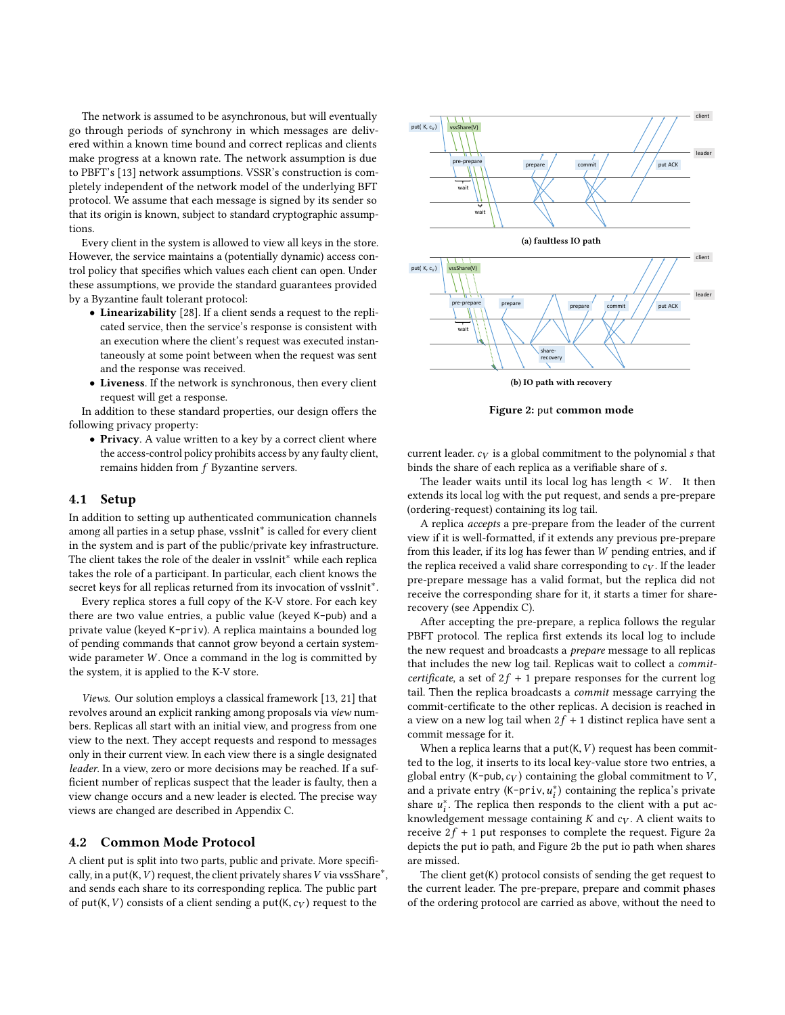The network is assumed to be asynchronous, but will eventually go through periods of synchrony in which messages are delivered within a known time bound and correct replicas and clients make progress at a known rate. The network assumption is due to PBFT's [\[13\]](#page-13-9) network assumptions. VSSR's construction is completely independent of the network model of the underlying BFT protocol. We assume that each message is signed by its sender so that its origin is known, subject to standard cryptographic assumptions.

Every client in the system is allowed to view all keys in the store. However, the service maintains a (potentially dynamic) access control policy that specifies which values each client can open. Under these assumptions, we provide the standard guarantees provided by a Byzantine fault tolerant protocol:

- Linearizability [\[28\]](#page-13-28). If a client sends a request to the replicated service, then the service's response is consistent with an execution where the client's request was executed instantaneously at some point between when the request was sent and the response was received.
- Liveness. If the network is synchronous, then every client request will get a response.

In addition to these standard properties, our design offers the following privacy property:

• Privacy. A value written to a key by a correct client where the access-control policy prohibits access by any faulty client, remains hidden from f Byzantine servers.

#### 4.1 Setup

In addition to setting up authenticated communication channels among all parties in a setup phase, vssInit<sup>∗</sup> is called for every client in the system and is part of the public/private key infrastructure. The client takes the role of the dealer in vssInit<sup>\*</sup> while each replica takes the role of a participant. In particular, each client knows the secret keys for all replicas returned from its invocation of vssInit<sup>\*</sup>.

Every replica stores a full copy of the K-V store. For each key there are two value entries, a public value (keyed K-pub) and a private value (keyed K-priv). A replica maintains a bounded log of pending commands that cannot grow beyond a certain systemwide parameter W. Once a command in the log is committed by the system, it is applied to the K-V store.

Views. Our solution employs a classical framework [\[13,](#page-13-9) [21\]](#page-13-29) that revolves around an explicit ranking among proposals via view numbers. Replicas all start with an initial view, and progress from one view to the next. They accept requests and respond to messages only in their current view. In each view there is a single designated leader. In a view, zero or more decisions may be reached. If a sufficient number of replicas suspect that the leader is faulty, then a view change occurs and a new leader is elected. The precise way views are changed are described in Appendix [C.](#page-15-1)

#### 4.2 Common Mode Protocol

A client put is split into two parts, public and private. More specifically, in a put(K, V) request, the client privately shares V via vssShare<sup>∗</sup>, and sends each share to its corresponding replice. The public part and sends each share to its corresponding replica. The public part of put(K, V) consists of a client sending a put(K,  $c_V$ ) request to the

<span id="page-8-0"></span>

Figure 2: put common mode

current leader.  $c_V$  is a global commitment to the polynomial s that binds the share of each replica as a verifiable share of s.

The leader waits until its local log has length  $\lt W$ . It then extends its local log with the put request, and sends a pre-prepare (ordering-request) containing its log tail.

A replica accepts a pre-prepare from the leader of the current view if it is well-formatted, if it extends any previous pre-prepare from this leader, if its log has fewer than W pending entries, and if the replica received a valid share corresponding to  $c_V$ . If the leader pre-prepare message has a valid format, but the replica did not receive the corresponding share for it, it starts a timer for sharerecovery (see Appendix [C\)](#page-15-1).

After accepting the pre-prepare, a replica follows the regular PBFT protocol. The replica first extends its local log to include the new request and broadcasts a prepare message to all replicas that includes the new log tail. Replicas wait to collect a commitcertificate, a set of  $2f + 1$  prepare responses for the current log tail. Then the replica broadcasts a commit message carrying the commit-certificate to the other replicas. A decision is reached in a view on a new log tail when  $2f + 1$  distinct replica have sent a commit message for it.

When a replica learns that a  $put(K, V)$  request has been committed to the log, it inserts to its local key-value store two entries, a global entry (K-pub,  $c_V$ ) containing the global commitment to  $V$ , and a private entry  $(K-priv, u_i^*)$  containing the replica's private<br>share  $u^*$ . The replica then reponds to the client with a put acshare  $u_i^*$ . The replica then responds to the client with a put ac-<br>knowledgement message containing K and  $\alpha_i$ . A client waits to knowledgement message containing K and  $c_V$ . A client waits to require 2.4  $\pm$  1 put repropries to complete the request. Figure 2.9 receive  $2f + 1$  put responses to complete the request. Figure [2a](#page-8-0) depicts the put io path, and Figure [2b](#page-8-0) the put io path when shares are missed.

The client get(K) protocol consists of sending the get request to the current leader. The pre-prepare, prepare and commit phases of the ordering protocol are carried as above, without the need to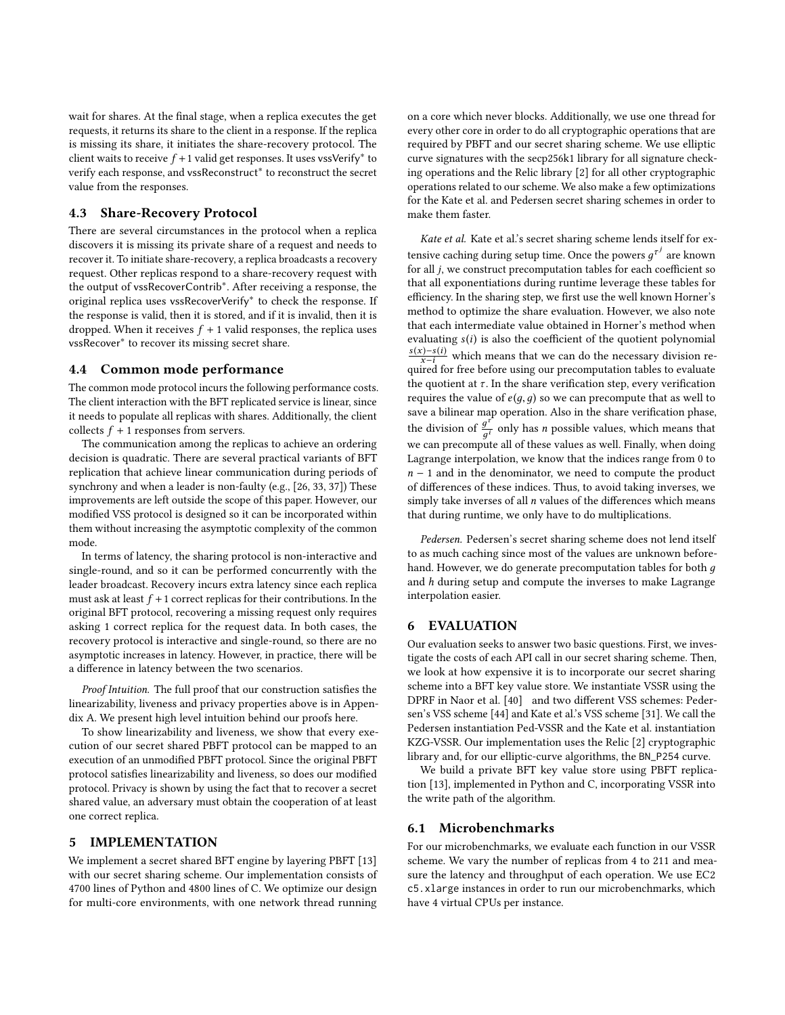wait for shares. At the final stage, when a replica executes the get requests, it returns its share to the client in a response. If the replica is missing its share, it initiates the share-recovery protocol. The client waits to receive  $f + 1$  valid get responses. It uses vssVerify<sup>∗</sup> to verify each response and vssPeconstruct<sup>∗</sup> to reconstruct the secret verify each response, and vssReconstruct<sup>\*</sup> to reconstruct the secret value from the responses.

#### 4.3 Share-Recovery Protocol

There are several circumstances in the protocol when a replica discovers it is missing its private share of a request and needs to recover it. To initiate share-recovery, a replica broadcasts a recovery request. Other replicas respond to a share-recovery request with the output of vssRecoverContrib<sup>∗</sup> . After receiving a response, the original replica uses vssRecoverVerify<sup>∗</sup> to check the response. If the response is valid, then it is stored, and if it is invalid, then it is dropped. When it receives  $f + 1$  valid responses, the replica uses vssRecover<sup>∗</sup> to recover its missing secret share.

#### 4.4 Common mode performance

The common mode protocol incurs the following performance costs. The client interaction with the BFT replicated service is linear, since it needs to populate all replicas with shares. Additionally, the client collects  $f + 1$  responses from servers.

The communication among the replicas to achieve an ordering decision is quadratic. There are several practical variants of BFT replication that achieve linear communication during periods of synchrony and when a leader is non-faulty (e.g., [\[26,](#page-13-5) [33,](#page-13-30) [37\]](#page-13-31)) These improvements are left outside the scope of this paper. However, our modified VSS protocol is designed so it can be incorporated within them without increasing the asymptotic complexity of the common mode.

In terms of latency, the sharing protocol is non-interactive and single-round, and so it can be performed concurrently with the leader broadcast. Recovery incurs extra latency since each replica must ask at least  $f + 1$  correct replicas for their contributions. In the original BFT protocol, recovering a missing request only requires asking 1 correct replica for the request data. In both cases, the recovery protocol is interactive and single-round, so there are no asymptotic increases in latency. However, in practice, there will be a difference in latency between the two scenarios.

Proof Intuition. The full proof that our construction satisfies the linearizability, liveness and privacy properties above is in Appendix [A.](#page-14-1) We present high level intuition behind our proofs here.

To show linearizability and liveness, we show that every execution of our secret shared PBFT protocol can be mapped to an execution of an unmodified PBFT protocol. Since the original PBFT protocol satisfies linearizability and liveness, so does our modified protocol. Privacy is shown by using the fact that to recover a secret shared value, an adversary must obtain the cooperation of at least one correct replica.

## 5 IMPLEMENTATION

We implement a secret shared BFT engine by layering PBFT [\[13\]](#page-13-9) with our secret sharing scheme. Our implementation consists of 4700 lines of Python and 4800 lines of C. We optimize our design for multi-core environments, with one network thread running on a core which never blocks. Additionally, we use one thread for every other core in order to do all cryptographic operations that are required by PBFT and our secret sharing scheme. We use elliptic curve signatures with the secp256k1 library for all signature checking operations and the Relic library [\[2\]](#page-13-32) for all other cryptographic operations related to our scheme. We also make a few optimizations for the Kate et al. and Pedersen secret sharing schemes in order to make them faster.

Kate et al. Kate et al.'s secret sharing scheme lends itself for extensive caching during setup time. Once the powers  $g^{\tau}$  are known<br>for all i, we construct precomputation tables for each coefficient so for all j, we construct precomputation tables for each coefficient so that all exponentiations during runtime leverage these tables for efficiency. In the sharing step, we first use the well known Horner's method to optimize the share evaluation. However, we also note that each intermediate value obtained in Horner's method when evaluating  $s(i)$  is also the coefficient of the quotient polynomial  $\frac{s(x)-s(i)}{x-i}$  which means that we can do the necessary division re-<br>quired for free before using our precomputation tables to evaluate quired for free before using our precomputation tables to evaluate the quotient at  $\tau$ . In the share verification step, every verification requires the value of  $e(g, g)$  so we can precompute that as well to save a bilinear map operation. Also in the share verification phase, the division of  $\frac{g}{g}$  only has *n* possible values, which means that we can precompute all of these values as well. Finally, when doing Lagrange interpolation, we know that the indices range from 0 to  $n - 1$  and in the denominator, we need to compute the product of differences of these indices. Thus, to avoid taking inverses, we simply take inverses of all  $n$  values of the differences which means that during runtime, we only have to do multiplications.

Pedersen. Pedersen's secret sharing scheme does not lend itself to as much caching since most of the values are unknown beforehand. However, we do generate precomputation tables for both q and h during setup and compute the inverses to make Lagrange interpolation easier.

## 6 EVALUATION

Our evaluation seeks to answer two basic questions. First, we investigate the costs of each API call in our secret sharing scheme. Then, we look at how expensive it is to incorporate our secret sharing scheme into a BFT key value store. We instantiate VSSR using the DPRF in Naor et al. [\[40\]](#page-13-25) and two different VSS schemes: Pedersen's VSS scheme [\[44\]](#page-13-8) and Kate et al.'s VSS scheme [\[31\]](#page-13-4). We call the Pedersen instantiation Ped-VSSR and the Kate et al. instantiation KZG-VSSR. Our implementation uses the Relic [\[2\]](#page-13-32) cryptographic library and, for our elliptic-curve algorithms, the BN\_P254 curve.

We build a private BFT key value store using PBFT replication [\[13\]](#page-13-9), implemented in Python and C, incorporating VSSR into the write path of the algorithm.

## 6.1 Microbenchmarks

For our microbenchmarks, we evaluate each function in our VSSR scheme. We vary the number of replicas from 4 to 211 and measure the latency and throughput of each operation. We use EC2 c5.xlarge instances in order to run our microbenchmarks, which have 4 virtual CPUs per instance.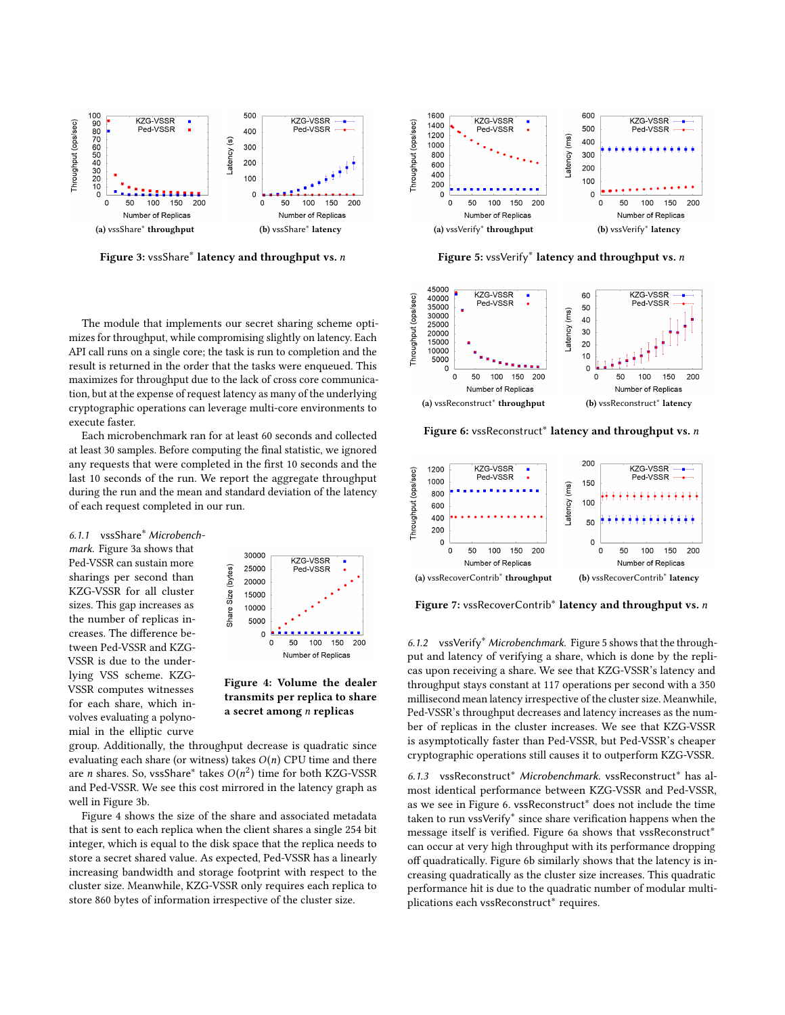<span id="page-10-0"></span>

Figure 3: vssShare<sup>∗</sup> latency and throughput vs. *n* 

The module that implements our secret sharing scheme optimizes for throughput, while compromising slightly on latency. Each API call runs on a single core; the task is run to completion and the result is returned in the order that the tasks were enqueued. This maximizes for throughput due to the lack of cross core communication, but at the expense of request latency as many of the underlying cryptographic operations can leverage multi-core environments to execute faster.

Each microbenchmark ran for at least 60 seconds and collected at least 30 samples. Before computing the final statistic, we ignored any requests that were completed in the first 10 seconds and the last 10 seconds of the run. We report the aggregate throughput during the run and the mean and standard deviation of the latency of each request completed in our run.

6.1.1 vssShare<sup>∗</sup> Microbenchmark. Figure [3a](#page-10-0) shows that Ped-VSSR can sustain more sharings per second than KZG-VSSR for all cluster sizes. This gap increases as the number of replicas increases. The difference between Ped-VSSR and KZG-VSSR is due to the underlying VSS scheme. KZG-VSSR computes witnesses for each share, which involves evaluating a polynomial in the elliptic curve

<span id="page-10-1"></span>

Figure 4: Volume the dealer transmits per replica to share a secret among *n* replicas

group. Additionally, the throughput decrease is quadratic since evaluating each share (or witness) takes  $O(n)$  CPU time and there are *n* shares. So, vssShare<sup>\*</sup> takes  $O(n^2)$  time for both KZG-VSSR<br>and Ped-VSSR We see this cost mirrored in the latency graph as and Ped-VSSR. We see this cost mirrored in the latency graph as well in Figure [3b.](#page-10-0)

Figure [4](#page-10-1) shows the size of the share and associated metadata that is sent to each replica when the client shares a single 254 bit integer, which is equal to the disk space that the replica needs to store a secret shared value. As expected, Ped-VSSR has a linearly increasing bandwidth and storage footprint with respect to the cluster size. Meanwhile, KZG-VSSR only requires each replica to store 860 bytes of information irrespective of the cluster size.

<span id="page-10-2"></span>

Figure 5: vssVerify<sup>\*</sup> latency and throughput vs. *n* 

<span id="page-10-3"></span>

Figure 6: vssReconstruct<sup>∗</sup> latency and throughput vs. *n* 

<span id="page-10-4"></span>

Figure 7: vssRecoverContrib<sup>∗</sup> la<mark>tency and throughput vs.</mark> *n* 

6.1.2 vssVerify<sup>∗</sup> Microbenchmark. Figure [5](#page-10-2) shows that the throughput and latency of verifying a share, which is done by the replicas upon receiving a share. We see that KZG-VSSR's latency and throughput stays constant at 117 operations per second with a 350 millisecond mean latency irrespective of the cluster size. Meanwhile, Ped-VSSR's throughput decreases and latency increases as the number of replicas in the cluster increases. We see that KZG-VSSR is asymptotically faster than Ped-VSSR, but Ped-VSSR's cheaper cryptographic operations still causes it to outperform KZG-VSSR.

6.1.3 vssReconstruct<sup>∗</sup> Microbenchmark. vssReconstruct<sup>∗</sup> has almost identical performance between KZG-VSSR and Ped-VSSR, as we see in Figure [6.](#page-10-3) vssReconstruct<sup>∗</sup> does not include the time taken to run vssVerify<sup>∗</sup> since share verification happens when the message itself is verified. Figure [6a](#page-10-3) shows that vssReconstruct<sup>∗</sup> can occur at very high throughput with its performance dropping off quadratically. Figure [6b](#page-10-3) similarly shows that the latency is increasing quadratically as the cluster size increases. This quadratic performance hit is due to the quadratic number of modular multi-.<br>plications each vssReconstruct® requires.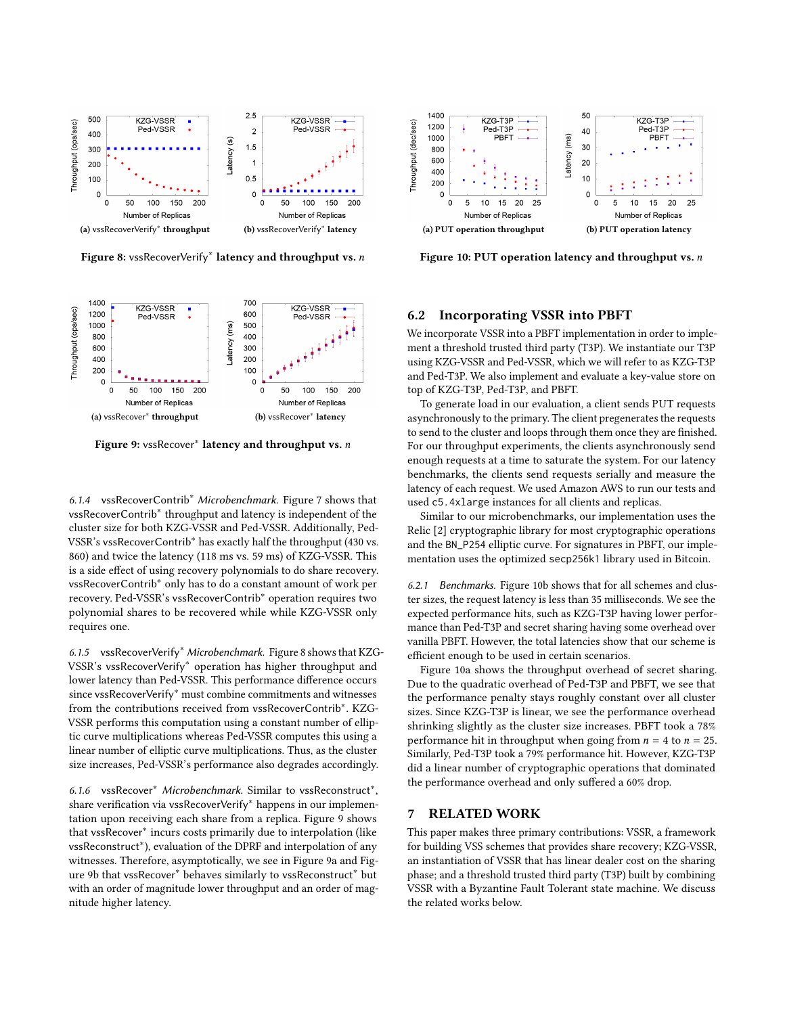<span id="page-11-0"></span>

Figure 8: vssRecoverVerify<sup>∗</sup> la<mark>tency and throughput vs.</mark> *n* 

<span id="page-11-1"></span>

Figure 9: vssRecover<sup>∗</sup> latency and throughput vs. *n* 

6.1.4 vssRecoverContrib<sup>∗</sup> Microbenchmark. Figure [7](#page-10-4) shows that vssRecoverContrib<sup>\*</sup> throughput and latency is independent of the cluster size for both KZG-VSSR and Ped-VSSR. Additionally, Ped-VSSR's vssRecoverContrib<sup>∗</sup> has exactly half the throughput (430 vs. 860) and twice the latency (118 ms vs. 59 ms) of KZG-VSSR. This is a side effect of using recovery polynomials to do share recovery. vssRecoverContrib<sup>∗</sup> only has to do a constant amount of work per recovery. Ped-VSSR's vssRecoverContrib<sup>∗</sup> operation requires two polynomial shares to be recovered while while KZG-VSSR only requires one.

6.1.5 vssRecoverVerify<sup>∗</sup> Microbenchmark. Figure [8](#page-11-0) shows that KZG-VSSR's vssRecoverVerify<sup>∗</sup> operation has higher throughput and lower latency than Ped-VSSR. This performance difference occurs since vssRecoverVerify<sup>∗</sup> must combine commitments and witnesses from the contributions received from vssRecoverContrib<sup>∗</sup> . KZG-VSSR performs this computation using a constant number of elliptic curve multiplications whereas Ped-VSSR computes this using a linear number of elliptic curve multiplications. Thus, as the cluster size increases, Ped-VSSR's performance also degrades accordingly.

6.1.6 vssRecover<sup>\*</sup> Microbenchmark. Similar to vssReconstruct<sup>\*</sup>, share verification via vssRecoverVerify<sup>∗</sup> happens in our implementation upon receiving each share from a replica. Figure [9](#page-11-1) shows that vssRecover<sup>∗</sup> incurs costs primarily due to interpolation (like vssReconstruct<sup>∗</sup> ), evaluation of the DPRF and interpolation of any witnesses. Therefore, asymptotically, we see in Figure [9a](#page-11-1) and Fig-ure [9b](#page-11-1) that vssRecover<sup>\*</sup> behaves similarly to vssReconstruct<sup>\*</sup> but with an order of magnitude lower throughput and an order of magnitude higher latency.

<span id="page-11-2"></span>

Figure 10: PUT operation latency and throughput vs. n

## 6.2 Incorporating VSSR into PBFT

We incorporate VSSR into a PBFT implementation in order to implement a threshold trusted third party (T3P). We instantiate our T3P using KZG-VSSR and Ped-VSSR, which we will refer to as KZG-T3P and Ped-T3P. We also implement and evaluate a key-value store on top of KZG-T3P, Ped-T3P, and PBFT.

To generate load in our evaluation, a client sends PUT requests asynchronously to the primary. The client pregenerates the requests to send to the cluster and loops through them once they are finished. For our throughput experiments, the clients asynchronously send enough requests at a time to saturate the system. For our latency benchmarks, the clients send requests serially and measure the latency of each request. We used Amazon AWS to run our tests and used c5.4xlarge instances for all clients and replicas.

Similar to our microbenchmarks, our implementation uses the Relic [\[2\]](#page-13-32) cryptographic library for most cryptographic operations and the BN\_P254 elliptic curve. For signatures in PBFT, our implementation uses the optimized secp256k1 library used in Bitcoin.

6.2.1 Benchmarks. Figure [10b](#page-11-2) shows that for all schemes and cluster sizes, the request latency is less than 35 milliseconds. We see the expected performance hits, such as KZG-T3P having lower performance than Ped-T3P and secret sharing having some overhead over vanilla PBFT. However, the total latencies show that our scheme is efficient enough to be used in certain scenarios.

Figure [10a](#page-11-2) shows the throughput overhead of secret sharing. Due to the quadratic overhead of Ped-T3P and PBFT, we see that the performance penalty stays roughly constant over all cluster sizes. Since KZG-T3P is linear, we see the performance overhead shrinking slightly as the cluster size increases. PBFT took a 78% performance hit in throughput when going from  $n = 4$  to  $n = 25$ . Similarly, Ped-T3P took a 79% performance hit. However, KZG-T3P did a linear number of cryptographic operations that dominated the performance overhead and only suffered a 60% drop.

#### 7 RELATED WORK

This paper makes three primary contributions: VSSR, a framework for building VSS schemes that provides share recovery; KZG-VSSR, an instantiation of VSSR that has linear dealer cost on the sharing phase; and a threshold trusted third party (T3P) built by combining VSSR with a Byzantine Fault Tolerant state machine. We discuss the related works below.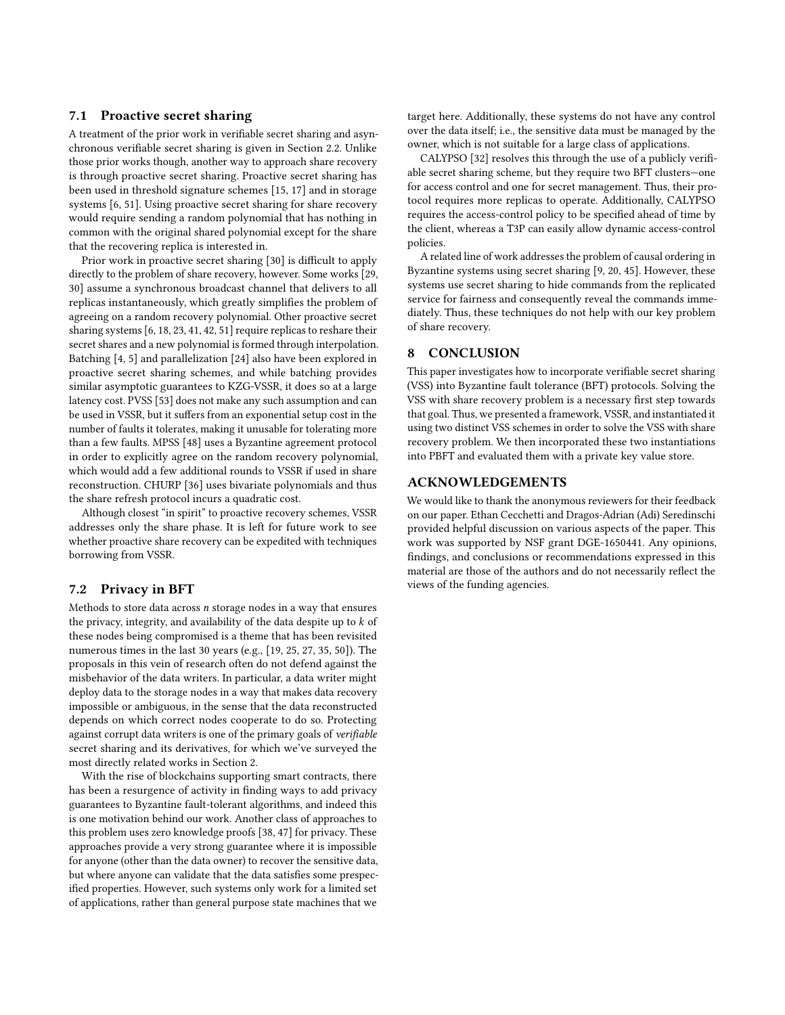## 7.1 Proactive secret sharing

A treatment of the prior work in verifiable secret sharing and asynchronous verifiable secret sharing is given in Section [2.2.](#page-1-0) Unlike those prior works though, another way to approach share recovery is through proactive secret sharing. Proactive secret sharing has been used in threshold signature schemes [\[15,](#page-13-33) [17\]](#page-13-34) and in storage systems [\[6,](#page-13-21) [51\]](#page-13-35). Using proactive secret sharing for share recovery would require sending a random polynomial that has nothing in common with the original shared polynomial except for the share that the recovering replica is interested in.

Prior work in proactive secret sharing [\[30\]](#page-13-20) is difficult to apply directly to the problem of share recovery, however. Some works [\[29,](#page-13-36) [30\]](#page-13-20) assume a synchronous broadcast channel that delivers to all replicas instantaneously, which greatly simplifies the problem of agreeing on a random recovery polynomial. Other proactive secret sharing systems [\[6,](#page-13-21) [18,](#page-13-37) [23,](#page-13-38) [41,](#page-13-22) [42,](#page-13-18) [51\]](#page-13-35) require replicas to reshare their secret shares and a new polynomial is formed through interpolation. Batching [\[4,](#page-13-23) [5\]](#page-13-24) and parallelization [\[24\]](#page-13-39) also have been explored in proactive secret sharing schemes, and while batching provides similar asymptotic guarantees to KZG-VSSR, it does so at a large latency cost. PVSS [\[53\]](#page-13-40) does not make any such assumption and can be used in VSSR, but it suffers from an exponential setup cost in the number of faults it tolerates, making it unusable for tolerating more than a few faults. MPSS [\[48\]](#page-13-41) uses a Byzantine agreement protocol in order to explicitly agree on the random recovery polynomial, which would add a few additional rounds to VSSR if used in share reconstruction. CHURP [\[36\]](#page-13-19) uses bivariate polynomials and thus the share refresh protocol incurs a quadratic cost.

Although closest "in spirit" to proactive recovery schemes, VSSR addresses only the share phase. It is left for future work to see whether proactive share recovery can be expedited with techniques borrowing from VSSR.

#### 7.2 Privacy in BFT

Methods to store data across  $n$  storage nodes in a way that ensures the privacy, integrity, and availability of the data despite up to  $k$  of these nodes being compromised is a theme that has been revisited numerous times in the last 30 years (e.g., [\[19,](#page-13-42) [25,](#page-13-43) [27,](#page-13-44) [35,](#page-13-45) [50\]](#page-13-46)). The proposals in this vein of research often do not defend against the misbehavior of the data writers. In particular, a data writer might deploy data to the storage nodes in a way that makes data recovery impossible or ambiguous, in the sense that the data reconstructed depends on which correct nodes cooperate to do so. Protecting against corrupt data writers is one of the primary goals of verifiable secret sharing and its derivatives, for which we've surveyed the most directly related works in Section [2.](#page-1-1)

With the rise of blockchains supporting smart contracts, there has been a resurgence of activity in finding ways to add privacy guarantees to Byzantine fault-tolerant algorithms, and indeed this is one motivation behind our work. Another class of approaches to this problem uses zero knowledge proofs [\[38,](#page-13-47) [47\]](#page-13-48) for privacy. These approaches provide a very strong guarantee where it is impossible for anyone (other than the data owner) to recover the sensitive data, but where anyone can validate that the data satisfies some prespecified properties. However, such systems only work for a limited set of applications, rather than general purpose state machines that we

target here. Additionally, these systems do not have any control over the data itself; i.e., the sensitive data must be managed by the owner, which is not suitable for a large class of applications.

CALYPSO [\[32\]](#page-13-49) resolves this through the use of a publicly verifiable secret sharing scheme, but they require two BFT clusters—one for access control and one for secret management. Thus, their protocol requires more replicas to operate. Additionally, CALYPSO requires the access-control policy to be specified ahead of time by the client, whereas a T3P can easily allow dynamic access-control policies.

A related line of work addresses the problem of causal ordering in Byzantine systems using secret sharing [\[9,](#page-13-50) [20,](#page-13-51) [45\]](#page-13-52). However, these systems use secret sharing to hide commands from the replicated service for fairness and consequently reveal the commands immediately. Thus, these techniques do not help with our key problem of share recovery.

## 8 CONCLUSION

This paper investigates how to incorporate verifiable secret sharing (VSS) into Byzantine fault tolerance (BFT) protocols. Solving the VSS with share recovery problem is a necessary first step towards that goal. Thus, we presented a framework, VSSR, and instantiated it using two distinct VSS schemes in order to solve the VSS with share recovery problem. We then incorporated these two instantiations into PBFT and evaluated them with a private key value store.

## ACKNOWLEDGEMENTS

We would like to thank the anonymous reviewers for their feedback on our paper. Ethan Cecchetti and Dragos-Adrian (Adi) Seredinschi provided helpful discussion on various aspects of the paper. This work was supported by NSF grant DGE-1650441. Any opinions, findings, and conclusions or recommendations expressed in this material are those of the authors and do not necessarily reflect the views of the funding agencies.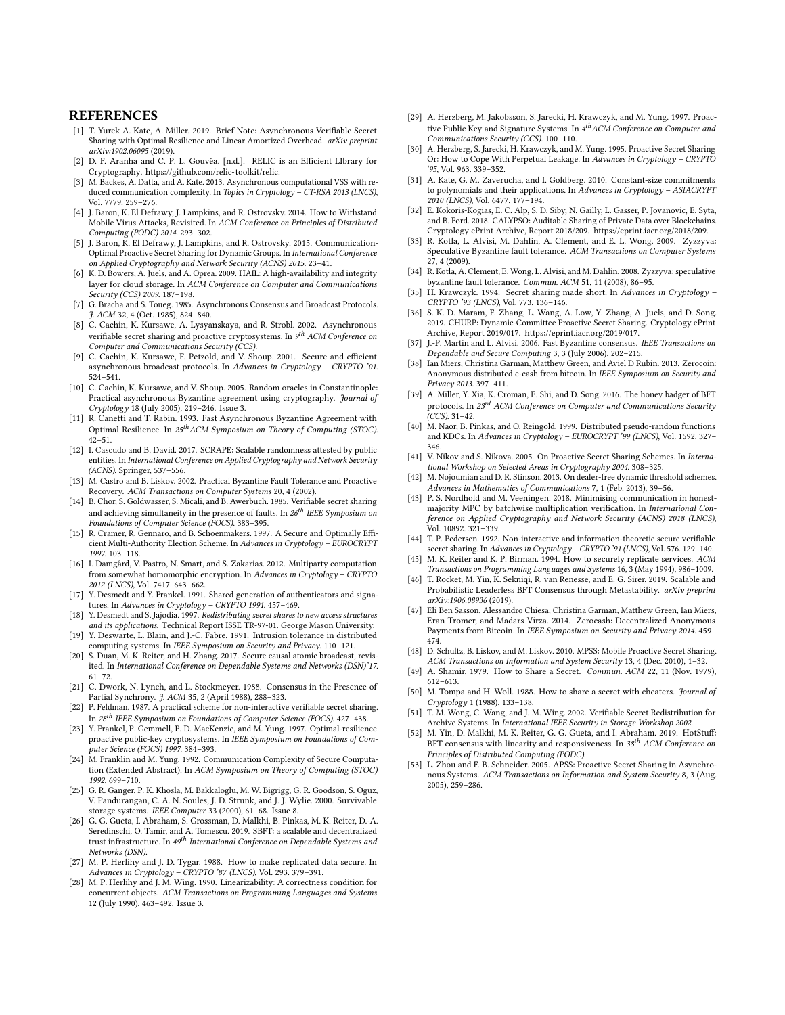#### **REFERENCES**

- <span id="page-13-3"></span>[1] T. Yurek A. Kate, A. Miller. 2019. Brief Note: Asynchronous Verifiable Secret Sharing with Optimal Resilience and Linear Amortized Overhead. arXiv preprint arXiv:1902.06095 (2019).
- <span id="page-13-32"></span>[2] D. F. Aranha and C. P. L. Gouvêa. [n.d.]. RELIC is an Efficient LIbrary for Cryptography. [https://github.com/relic-toolkit/relic.](https://github.com/relic-toolkit/relic)
- <span id="page-13-17"></span>[3] M. Backes, A. Datta, and A. Kate. 2013. Asynchronous computational VSS with reduced communication complexity. In Topics in Cryptology – CT-RSA 2013 (LNCS), Vol. 7779. 259–276.
- <span id="page-13-23"></span>[4] J. Baron, K. El Defrawy, J. Lampkins, and R. Ostrovsky. 2014. How to Withstand Mobile Virus Attacks, Revisited. In ACM Conference on Principles of Distributed Computing (PODC) 2014. 293–302.
- <span id="page-13-24"></span>[5] J. Baron, K. El Defrawy, J. Lampkins, and R. Ostrovsky. 2015. Communication-Optimal Proactive Secret Sharing for Dynamic Groups. In International Conference on Applied Cryptography and Network Security (ACNS) 2015. 23–41.
- <span id="page-13-21"></span>[6] K. D. Bowers, A. Juels, and A. Oprea. 2009. HAIL: A high-availability and integrity layer for cloud storage. In ACM Conference on Computer and Communications Security (CCS) 2009. 187–198.
- <span id="page-13-16"></span>[7] G. Bracha and S. Toueg. 1985. Asynchronous Consensus and Broadcast Protocols. J. ACM 32, 4 (Oct. 1985), 824–840.
- <span id="page-13-15"></span>[8] C. Cachin, K. Kursawe, A. Lysyanskaya, and R. Strobl. 2002. Asynchronous verifiable secret sharing and proactive cryptosystems. In  $9^{th}$  ACM Conference on Computer and Communications Security (CCS).
- <span id="page-13-50"></span>[9] C. Cachin, K. Kursawe, F. Petzold, and V. Shoup. 2001. Secure and efficient asynchronous broadcast protocols. In Advances in Cryptology – CRYPTO '01. 524–541.
- <span id="page-13-26"></span>[10] C. Cachin, K. Kursawe, and V. Shoup. 2005. Random oracles in Constantinople: Practical asynchronous Byzantine agreement using cryptography. Journal of Cryptology 18 (July 2005), 219–246. Issue 3.
- <span id="page-13-14"></span>[11] R. Canetti and T. Rabin. 1993. Fast Asynchronous Byzantine Agreement with Optimal Resilience. In 25<sup>th</sup> ACM Symposium on Theory of Computing (STOC). 42–51.
- <span id="page-13-13"></span>[12] I. Cascudo and B. David. 2017. SCRAPE: Scalable randomness attested by public entities. In International Conference on Applied Cryptography and Network Security (ACNS). Springer, 537–556.
- <span id="page-13-9"></span>[13] M. Castro and B. Liskov. 2002. Practical Byzantine Fault Tolerance and Proactive Recovery. ACM Transactions on Computer Systems 20, 4 (2002).
- <span id="page-13-2"></span>[14] B. Chor, S. Goldwasser, S. Micali, and B. Awerbuch. 1985. Verifiable secret sharing and achieving simultaneity in the presence of faults. In  $26^{th}$  IEEE Symposium on Foundations of Computer Science (FOCS). 383–395.
- <span id="page-13-33"></span>[15] R. Cramer, R. Gennaro, and B. Schoenmakers. 1997. A Secure and Optimally Efficient Multi-Authority Election Scheme. In Advances in Cryptology – EUROCRYPT 1997. 103–118.
- <span id="page-13-0"></span>[16] I. Damgård, V. Pastro, N. Smart, and S. Zakarias. 2012. Multiparty computation from somewhat homomorphic encryption. In Advances in Cryptology – CRYPTO 2012 (LNCS), Vol. 7417. 643–662.
- <span id="page-13-34"></span>[17] Y. Desmedt and Y. Frankel. 1991. Shared generation of authenticators and signatures. In Advances in Cryptology – CRYPTO 1991. 457–469.
- <span id="page-13-37"></span>[18] Y. Desmedt and S. Jajodia. 1997. Redistributing secret shares to new access structures and its applications. Technical Report ISSE TR-97-01. George Mason University.
- <span id="page-13-42"></span>[19] Y. Deswarte, L. Blain, and J.-C. Fabre. 1991. Intrusion tolerance in distributed computing systems. In IEEE Symposium on Security and Privacy. 110–121.
- <span id="page-13-51"></span>[20] S. Duan, M. K. Reiter, and H. Zhang. 2017. Secure causal atomic broadcast, revisited. In International Conference on Dependable Systems and Networks (DSN)'17. 61–72.
- <span id="page-13-29"></span>[21] C. Dwork, N. Lynch, and L. Stockmeyer. 1988. Consensus in the Presence of Partial Synchrony. J. ACM 35, 2 (April 1988), 288–323.
- <span id="page-13-12"></span>[22] P. Feldman. 1987. A practical scheme for non-interactive verifiable secret sharing. In 28th IEEE Symposium on Foundations of Computer Science (FOCS). 427–438.
- <span id="page-13-38"></span>[23] Y. Frankel, P. Gemmell, P. D. MacKenzie, and M. Yung. 1997. Optimal-resilience proactive public-key cryptosystems. In IEEE Symposium on Foundations of Computer Science (FOCS) 1997. 384–393.
- <span id="page-13-39"></span>[24] M. Franklin and M. Yung. 1992. Communication Complexity of Secure Computation (Extended Abstract). In ACM Symposium on Theory of Computing (STOC) 1992. 699–710.
- <span id="page-13-43"></span>[25] G. R. Ganger, P. K. Khosla, M. Bakkaloglu, M. W. Bigrigg, G. R. Goodson, S. Oguz, V. Pandurangan, C. A. N. Soules, J. D. Strunk, and J. J. Wylie. 2000. Survivable storage systems. IEEE Computer 33 (2000), 61–68. Issue 8.
- <span id="page-13-5"></span>[26] G. G. Gueta, I. Abraham, S. Grossman, D. Malkhi, B. Pinkas, M. K. Reiter, D.-A. Seredinschi, O. Tamir, and A. Tomescu. 2019. SBFT: a scalable and decentralized trust infrastructure. In  $49^{th}$  International Conference on Dependable Systems and Networks (DSN).
- <span id="page-13-44"></span>[27] M. P. Herlihy and J. D. Tygar. 1988. How to make replicated data secure. In Advances in Cryptology – CRYPTO '87 (LNCS), Vol. 293. 379–391.
- <span id="page-13-28"></span>[28] M. P. Herlihy and J. M. Wing. 1990. Linearizability: A correctness condition for concurrent objects. ACM Transactions on Programming Languages and Systems 12 (July 1990), 463–492. Issue 3.
- <span id="page-13-36"></span>[29] A. Herzberg, M. Jakobsson, S. Jarecki, H. Krawczyk, and M. Yung. 1997. Proactive Public Key and Signature Systems. In 4<sup>th</sup>ACM Conference on Computer and Communications Security (CCS). 100–110.
- <span id="page-13-20"></span>[30] A. Herzberg, S. Jarecki, H. Krawczyk, and M. Yung. 1995. Proactive Secret Sharing Or: How to Cope With Perpetual Leakage. In Advances in Cryptology – CRYPTO '95, Vol. 963. 339–352.
- <span id="page-13-4"></span>[31] A. Kate, G. M. Zaverucha, and I. Goldberg. 2010. Constant-size commitments to polynomials and their applications. In Advances in Cryptology – ASIACRYPT 2010 (LNCS), Vol. 6477. 177–194.
- <span id="page-13-49"></span>[32] E. Kokoris-Kogias, E. C. Alp, S. D. Siby, N. Gailly, L. Gasser, P. Jovanovic, E. Syta, and B. Ford. 2018. CALYPSO: Auditable Sharing of Private Data over Blockchains. Cryptology ePrint Archive, Report 2018/209. [https://eprint.iacr.org/2018/209.](https://eprint.iacr.org/2018/209)
- <span id="page-13-30"></span>[33] R. Kotla, L. Alvisi, M. Dahlin, A. Clement, and E. L. Wong. 2009. Zyzzyva: Speculative Byzantine fault tolerance. ACM Transactions on Computer Systems 27, 4 (2009).
- <span id="page-13-10"></span>[34] R. Kotla, A. Clement, E. Wong, L. Alvisi, and M. Dahlin. 2008. Zyzzyva: speculative byzantine fault tolerance. Commun. ACM 51, 11 (2008), 86–95.
- <span id="page-13-45"></span>[35] H. Krawczyk. 1994. Secret sharing made short. In Advances in Cryptology -CRYPTO '93 (LNCS), Vol. 773. 136–146.
- <span id="page-13-19"></span>[36] S. K. D. Maram, F. Zhang, L. Wang, A. Low, Y. Zhang, A. Juels, and D. Song. 2019. CHURP: Dynamic-Committee Proactive Secret Sharing. Cryptology ePrint Archive, Report 2019/017. [https://eprint.iacr.org/2019/017.](https://eprint.iacr.org/2019/017)
- <span id="page-13-31"></span>[37] J.-P. Martin and L. Alvisi. 2006. Fast Byzantine consensus. IEEE Transactions on Dependable and Secure Computing 3, 3 (July 2006), 202–215.
- <span id="page-13-47"></span>[38] Ian Miers, Christina Garman, Matthew Green, and Aviel D Rubin. 2013. Zerocoin: Anonymous distributed e-cash from bitcoin. In IEEE Symposium on Security and Privacy 2013. 397–411.
- <span id="page-13-27"></span>[39] A. Miller, Y. Xia, K. Croman, E. Shi, and D. Song. 2016. The honey badger of BFT protocols. In 23<sup>rd</sup> ACM Conference on Computer and Communications Security  $\bar{C}$ CCS). 31–42.
- <span id="page-13-25"></span>[40] M. Naor, B. Pinkas, and O. Reingold. 1999. Distributed pseudo-random functions and KDCs. In Advances in Cryptology – EUROCRYPT '99 (LNCS), Vol. 1592. 327– 346.
- <span id="page-13-22"></span>[41] V. Nikov and S. Nikova. 2005. On Proactive Secret Sharing Schemes. In International Workshop on Selected Areas in Cryptography 2004. 308–325.
- <span id="page-13-18"></span>[42] M. Nojoumian and D. R. Stinson. 2013. On dealer-free dynamic threshold schemes. Advances in Mathematics of Communications 7, 1 (Feb. 2013), 39–56.
- <span id="page-13-1"></span>[43] P. S. Nordhold and M. Veeningen. 2018. Minimising communication in honestmajority MPC by batchwise multiplication verification. In International Conference on Applied Cryptography and Network Security (ACNS) 2018 (LNCS), Vol. 10892. 321–339.
- <span id="page-13-8"></span>[44] T. P. Pedersen. 1992. Non-interactive and information-theoretic secure verifiable secret sharing. In Advances in Cryptology - CRYPTO '91 (LNCS), Vol. 576. 129-140.
- <span id="page-13-52"></span>[45] M. K. Reiter and K. P. Birman. 1994. How to securely replicate services. ACM Transactions on Programming Languages and Systems 16, 3 (May 1994), 986–1009.
- <span id="page-13-6"></span>[46] T. Rocket, M. Yin, K. Sekniqi, R. van Renesse, and E. G. Sirer. 2019. Scalable and Probabilistic Leaderless BFT Consensus through Metastability. arXiv preprint arXiv:1906.08936 (2019).
- <span id="page-13-48"></span>[47] Eli Ben Sasson, Alessandro Chiesa, Christina Garman, Matthew Green, Ian Miers, Eran Tromer, and Madars Virza. 2014. Zerocash: Decentralized Anonymous Payments from Bitcoin. In IEEE Symposium on Security and Privacy 2014. 459– 474.
- <span id="page-13-41"></span>[48] D. Schultz, B. Liskov, and M. Liskov. 2010. MPSS: Mobile Proactive Secret Sharing. ACM Transactions on Information and System Security 13, 4 (Dec. 2010), 1–32.
- <span id="page-13-11"></span>[49] A. Shamir. 1979. How to Share a Secret. Commun. ACM 22, 11 (Nov. 1979), 612–613.
- <span id="page-13-46"></span>[50] M. Tompa and H. Woll. 1988. How to share a secret with cheaters. Journal of Cryptology 1 (1988), 133–138.
- <span id="page-13-35"></span>[51] T. M. Wong, C. Wang, and J. M. Wing. 2002. Verifiable Secret Redistribution for Archive Systems. In International IEEE Security in Storage Workshop 2002.
- <span id="page-13-7"></span>[52] M. Yin, D. Malkhi, M. K. Reiter, G. G. Gueta, and I. Abraham. 2019. HotStuff: BFT consensus with linearity and responsiveness. In  $38<sup>th</sup>$  ACM Conference on Principles of Distributed Computing (PODC).
- <span id="page-13-40"></span>[53] L. Zhou and F. B. Schneider. 2005. APSS: Proactive Secret Sharing in Asynchronous Systems. ACM Transactions on Information and System Security 8, 3 (Aug. 2005), 259–286.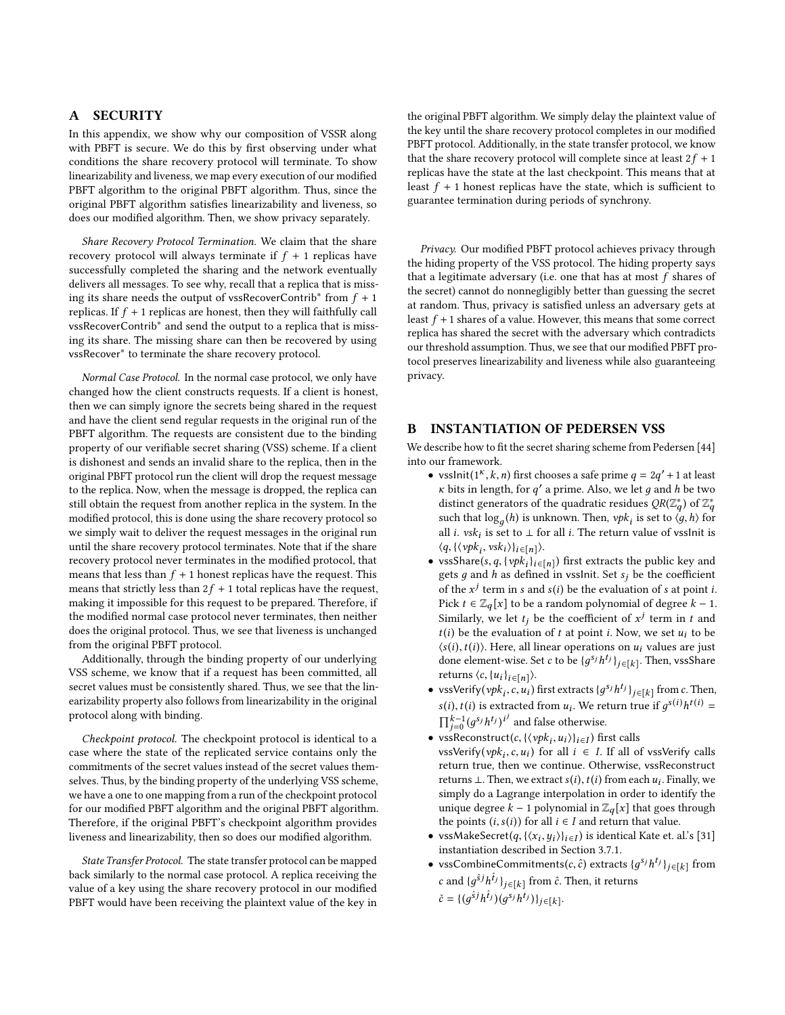#### <span id="page-14-1"></span>A SECURITY

In this appendix, we show why our composition of VSSR along with PBFT is secure. We do this by first observing under what conditions the share recovery protocol will terminate. To show linearizability and liveness, we map every execution of our modified PBFT algorithm to the original PBFT algorithm. Thus, since the original PBFT algorithm satisfies linearizability and liveness, so does our modified algorithm. Then, we show privacy separately.

Share Recovery Protocol Termination. We claim that the share recovery protocol will always terminate if  $f + 1$  replicas have successfully completed the sharing and the network eventually delivers all messages. To see why, recall that a replica that is missing its share needs the output of vssRecoverContrib<sup>∗</sup> from  $f + 1$ <br>replices If  $f + 1$  replices are bonest then they will faithfully call replicas. If  $f + 1$  replicas are honest, then they will faithfully call vssRecoverContrib<sup>∗</sup> and send the output to a replica that is missing its share. The missing share can then be recovered by using vssRecover<sup>∗</sup> to terminate the share recovery protocol.

Normal Case Protocol. In the normal case protocol, we only have changed how the client constructs requests. If a client is honest, then we can simply ignore the secrets being shared in the request and have the client send regular requests in the original run of the PBFT algorithm. The requests are consistent due to the binding property of our verifiable secret sharing (VSS) scheme. If a client is dishonest and sends an invalid share to the replica, then in the original PBFT protocol run the client will drop the request message to the replica. Now, when the message is dropped, the replica can still obtain the request from another replica in the system. In the modified protocol, this is done using the share recovery protocol so we simply wait to deliver the request messages in the original run until the share recovery protocol terminates. Note that if the share recovery protocol never terminates in the modified protocol, that means that less than  $f + 1$  honest replicas have the request. This means that strictly less than  $2f + 1$  total replicas have the request, making it impossible for this request to be prepared. Therefore, if the modified normal case protocol never terminates, then neither does the original protocol. Thus, we see that liveness is unchanged from the original PBFT protocol.

Additionally, through the binding property of our underlying VSS scheme, we know that if a request has been committed, all secret values must be consistently shared. Thus, we see that the linearizability property also follows from linearizability in the original protocol along with binding.

Checkpoint protocol. The checkpoint protocol is identical to a case where the state of the replicated service contains only the commitments of the secret values instead of the secret values themselves. Thus, by the binding property of the underlying VSS scheme, we have a one to one mapping from a run of the checkpoint protocol for our modified PBFT algorithm and the original PBFT algorithm. Therefore, if the original PBFT's checkpoint algorithm provides liveness and linearizability, then so does our modified algorithm.

State Transfer Protocol. The state transfer protocol can be mapped back similarly to the normal case protocol. A replica receiving the value of a key using the share recovery protocol in our modified PBFT would have been receiving the plaintext value of the key in the original PBFT algorithm. We simply delay the plaintext value of the key until the share recovery protocol completes in our modified PBFT protocol. Additionally, in the state transfer protocol, we know that the share recovery protocol will complete since at least  $2f + 1$ replicas have the state at the last checkpoint. This means that at least  $f + 1$  honest replicas have the state, which is sufficient to guarantee termination during periods of synchrony.

Privacy. Our modified PBFT protocol achieves privacy through the hiding property of the VSS protocol. The hiding property says that a legitimate adversary (i.e. one that has at most  $f$  shares of the secret) cannot do nonnegligibly better than guessing the secret at random. Thus, privacy is satisfied unless an adversary gets at least  $f + 1$  shares of a value. However, this means that some correct replica has shared the secret with the adversary which contradicts our threshold assumption. Thus, we see that our modified PBFT protocol preserves linearizability and liveness while also guaranteeing privacy.

## <span id="page-14-0"></span>B INSTANTIATION OF PEDERSEN VSS

We describe how to fit the secret sharing scheme from Pedersen [\[44\]](#page-13-8) into our framework.

- vsslnit(1<sup>k</sup>, k, n) first chooses a safe prime  $q = 2q' + 1$  at least *κ* bits in length, for q' a prime. Also, we let g and h be two distinct generators of the quadratic residues  $OP(\mathbb{Z}^*)$  of  $\mathbb{Z}^*$ distinct generators of the quadratic residues  $QR(\mathbb{Z}_q^*)$  of  $\mathbb{Z}_q^*$ such that  $\log_g(h)$  is unknown. Then,  $vpk_i$  is set to  $\langle g, h \rangle$  for all *i* wek; is set to  $\perp$  for all *i*. The return value of vestnit is all *i. vsk<sub>i</sub>* is set to ⊥ for all *i*. The return value of vssInit is  $\langle q, {\langle \langle \gamma p k_i, \nu s k_i \rangle \rangle}_{i \in [n]} \rangle$ <br>vssShare(s, a, {vnk,}, ,
- vssShare(s, q, {vpk<sub>i</sub>}<sub>i ∈[n]</sub>) first extracts the public key and sets *a* and *h* as defined in vsslnit. Set *s*, be the coefficient gets  $g$  and  $h$  as defined in vssInit. Set  $s_i$  be the coefficient of the  $x^j$  term in s and  $s(i)$  be the evaluation of s at point *i*.<br>Pick  $t \in \mathbb{Z}$  [x] to be a random polynomial of degree  $k = 1$ . Pick  $t \in \mathbb{Z}_q[x]$  to be a random polynomial of degree  $k - 1$ . Similarly, we let  $t_j$  be the coefficient of  $x^j$  term in t and  $t(i)$  be the evaluation of t at point i. Now we set  $u_i$  to be  $t(i)$  be the evaluation of t at point i. Now, we set  $u_i$  to be  $\langle s(i), t(i) \rangle$ . Here, all linear operations on  $u_i$  values are just done element-wise. Set c to be  $\{g^{sj}h^{t_j}\}_{j\in[k]}$ . Then, vssShare<br>returns  $(c, \{u_i\}, \tau_i)$ returns  $\langle c, \{u_i\}_{i \in [n]} \rangle$ .
- vssVerify(vpk<sub>i</sub>, c, u<sub>i</sub>) first extracts  $\{g^{sj}h^{t_j}\}_{j\in[k]}$  from c. Then,  $s(i)$ ,  $t(i)$  is extracted from  $u_i$ . We return true if  $g^{s(i)}h^{t(i)} = \nabla^{k-1}(s_i, t_i)$  is at false at kermic.  $\prod_{j=0}^{k-1} (g^{s_j} h^{t_j})^{i^j}$  and false otherwise.
- $\frac{11_{j=0} (9^{j} h^{j})}{11_{j=0} (9^{j} h^{j})}$  and talled bullet wise.<br>
 vssReconstruct(c, { $\langle vpk_i, u_i \rangle$ }<sub>i ∈ I</sub> if all o vssVerify(*vpk<sub>i</sub>*, *c*, *u<sub>i</sub>*) for all  $i \in I$ . If all of vssVerify calls<br>return true then we continue Otherwise vssPeconstruct return true, then we continue. Otherwise, vssReconstruct returns  $\perp$ . Then, we extract  $s(i)$ ,  $t(i)$  from each  $u_i$ . Finally, we simply do a Lagrange interpolation in order to identify the simply do a Lagrange interpolation in order to identify the unique degree  $k - 1$  polynomial in  $\mathbb{Z}_q[x]$  that goes through the points  $(i, s(i))$  for all  $i \in I$  and return that value.
- vssMakeSecret( $q$ , { $\langle x_i, y_i \rangle$ }<sub>i ∈I</sub>) is identical Kate et. al.'s [\[31\]](#page-13-4)<br>instantiation described in Section 3.7.1 instantiation described in Section [3.7.1.](#page-7-1)
- vssCombineCommitments $(c, \hat{c})$  extracts  $\{g^{sj}h^{t_j}\}_{j \in [k]}$  from c and  $\{g^{\hat{s}j}h^{\hat{t}_j}\}_{{j \in [k]}}$  from ĉ. Then, it returns  $\check{c} = \{ (g^{\hat{s}j}h^{\hat{t}j})(g^{s_j}h^{t_j}) \}_{j \in [k]}.$